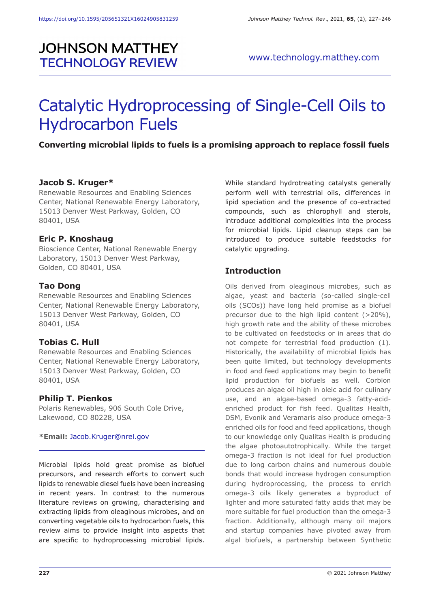## **JOHNSON MATTHEY TECHNOLOGY REVIEW**

# Catalytic Hydroprocessing of Single-Cell Oils to Hydrocarbon Fuels

## **Converting microbial lipids to fuels is a promising approach to replace fossil fuels**

#### **Jacob S. Kruger\***

Renewable Resources and Enabling Sciences Center, National Renewable Energy Laboratory, 15013 Denver West Parkway, Golden, CO 80401, USA

#### **Eric P. Knoshaug**

Bioscience Center, National Renewable Energy Laboratory, 15013 Denver West Parkway, Golden, CO 80401, USA

#### **Tao Dong**

Renewable Resources and Enabling Sciences Center, National Renewable Energy Laboratory, 15013 Denver West Parkway, Golden, CO 80401, USA

#### **Tobias C. Hull**

Renewable Resources and Enabling Sciences Center, National Renewable Energy Laboratory, 15013 Denver West Parkway, Golden, CO 80401, USA

#### **Philip T. Pienkos**

Polaris Renewables, 906 South Cole Drive, Lakewood, CO 80228, USA

#### **\*Email:** Jacob.Kruger@nrel.gov

Microbial lipids hold great promise as biofuel precursors, and research efforts to convert such lipids to renewable diesel fuels have been increasing in recent years. In contrast to the numerous literature reviews on growing, characterising and extracting lipids from oleaginous microbes, and on converting vegetable oils to hydrocarbon fuels, this review aims to provide insight into aspects that are specific to hydroprocessing microbial lipids.

While standard hydrotreating catalysts generally perform well with terrestrial oils, differences in lipid speciation and the presence of co-extracted compounds, such as chlorophyll and sterols, introduce additional complexities into the process for microbial lipids. Lipid cleanup steps can be introduced to produce suitable feedstocks for catalytic upgrading.

## **Introduction**

Oils derived from oleaginous microbes, such as algae, yeast and bacteria (so-called single-cell oils (SCOs)) have long held promise as a biofuel precursor due to the high lipid content  $(>20\%)$ , high growth rate and the ability of these microbes to be cultivated on feedstocks or in areas that do not compete for terrestrial food production (1). Historically, the availability of microbial lipids has been quite limited, but technology developments in food and feed applications may begin to benefit lipid production for biofuels as well. Corbion produces an algae oil high in oleic acid for culinary use, and an algae-based omega-3 fatty-acidenriched product for fish feed. Qualitas Health, DSM, Evonik and Veramaris also produce omega-3 enriched oils for food and feed applications, though to our knowledge only Qualitas Health is producing the algae photoautotrophically. While the target omega-3 fraction is not ideal for fuel production due to long carbon chains and numerous double bonds that would increase hydrogen consumption during hydroprocessing, the process to enrich omega-3 oils likely generates a byproduct of lighter and more saturated fatty acids that may be more suitable for fuel production than the omega-3 fraction. Additionally, although many oil majors and startup companies have pivoted away from algal biofuels, a partnership between Synthetic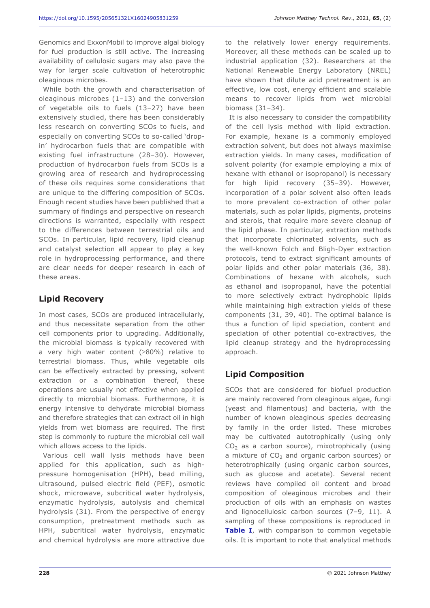Genomics and ExxonMobil to improve algal biology for fuel production is still active. The increasing availability of cellulosic sugars may also pave the way for larger scale cultivation of heterotrophic oleaginous microbes.

While both the growth and characterisation of oleaginous microbes (1–13) and the conversion of vegetable oils to fuels (13–27) have been extensively studied, there has been considerably less research on converting SCOs to fuels, and especially on converting SCOs to so-called 'dropin' hydrocarbon fuels that are compatible with existing fuel infrastructure (28–30). However, production of hydrocarbon fuels from SCOs is a growing area of research and hydroprocessing of these oils requires some considerations that are unique to the differing composition of SCOs. Enough recent studies have been published that a summary of findings and perspective on research directions is warranted, especially with respect to the differences between terrestrial oils and SCOs. In particular, lipid recovery, lipid cleanup and catalyst selection all appear to play a key role in hydroprocessing performance, and there are clear needs for deeper research in each of these areas.

## **Lipid Recovery**

In most cases, SCOs are produced intracellularly, and thus necessitate separation from the other cell components prior to upgrading. Additionally, the microbial biomass is typically recovered with a very high water content (≥80%) relative to terrestrial biomass. Thus, while vegetable oils can be effectively extracted by pressing, solvent extraction or a combination thereof, these operations are usually not effective when applied directly to microbial biomass. Furthermore, it is energy intensive to dehydrate microbial biomass and therefore strategies that can extract oil in high yields from wet biomass are required. The first step is commonly to rupture the microbial cell wall which allows access to the lipids.

Various cell wall lysis methods have been applied for this application, such as highpressure homogenisation (HPH), bead milling, ultrasound, pulsed electric field (PEF), osmotic shock, microwave, subcritical water hydrolysis, enzymatic hydrolysis, autolysis and chemical hydrolysis (31). From the perspective of energy consumption, pretreatment methods such as HPH, subcritical water hydrolysis, enzymatic and chemical hydrolysis are more attractive due

to the relatively lower energy requirements. Moreover, all these methods can be scaled up to industrial application (32). Researchers at the National Renewable Energy Laboratory (NREL) have shown that dilute acid pretreatment is an effective, low cost, energy efficient and scalable means to recover lipids from wet microbial biomass (31–34).

It is also necessary to consider the compatibility of the cell lysis method with lipid extraction. For example, hexane is a commonly employed extraction solvent, but does not always maximise extraction yields. In many cases, modification of solvent polarity (for example employing a mix of hexane with ethanol or isopropanol) is necessary for high lipid recovery (35–39). However, incorporation of a polar solvent also often leads to more prevalent co-extraction of other polar materials, such as polar lipids, pigments, proteins and sterols, that require more severe cleanup of the lipid phase. In particular, extraction methods that incorporate chlorinated solvents, such as the well-known Folch and Bligh-Dyer extraction protocols, tend to extract significant amounts of polar lipids and other polar materials (36, 38). Combinations of hexane with alcohols, such as ethanol and isopropanol, have the potential to more selectively extract hydrophobic lipids while maintaining high extraction yields of these components (31, 39, 40). The optimal balance is thus a function of lipid speciation, content and speciation of other potential co-extractives, the lipid cleanup strategy and the hydroprocessing approach.

## **Lipid Composition**

SCOs that are considered for biofuel production are mainly recovered from oleaginous algae, fungi (yeast and filamentous) and bacteria, with the number of known oleaginous species decreasing by family in the order listed. These microbes may be cultivated autotrophically (using only  $CO<sub>2</sub>$  as a carbon source), mixotrophically (using a mixture of  $CO<sub>2</sub>$  and organic carbon sources) or heterotrophically (using organic carbon sources, such as glucose and acetate). Several recent reviews have compiled oil content and broad composition of oleaginous microbes and their production of oils with an emphasis on wastes and lignocellulosic carbon sources (7–9, 11). A sampling of these compositions is reproduced in **Table I**, with comparison to common vegetable oils. It is important to note that analytical methods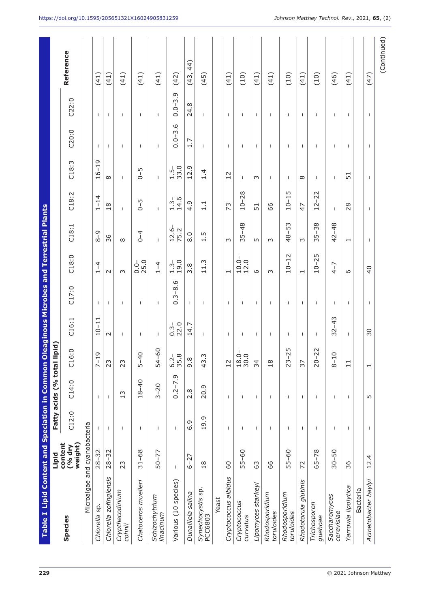| Table I Lipid Content and Speciation in Common |                              |                          |                      |                                          |              | <b>Oleaginous Microbes and Terrestrial Plants</b> |                                                                    |                          |                  |                         |              |              |             |
|------------------------------------------------|------------------------------|--------------------------|----------------------|------------------------------------------|--------------|---------------------------------------------------|--------------------------------------------------------------------|--------------------------|------------------|-------------------------|--------------|--------------|-------------|
|                                                | <b>Digil</b>                 |                          | Fatty acids (% total | lipid)                                   |              |                                                   |                                                                    |                          |                  |                         |              |              |             |
| Species                                        | content<br>weight)<br>(% dry | C12:0                    | C14:0                | 6:0<br>J                                 | C16:1        | C17:0                                             | C18:0                                                              | C18:1                    | C18:2            | C18:3                   | C20:0        | C22:0        | Reference   |
| Microalgae                                     | and cyanobacteria            |                          |                      |                                          |              |                                                   |                                                                    |                          |                  |                         |              |              |             |
| Chlorella sp.                                  | $28 - 32$                    | $\mathbf{I}$             | $\mathbf{I}$         | $7 - 19$                                 | $10 - 11$    | J.                                                | $\overline{4}$<br>$\overline{\phantom{0}}$                         | $8 - 9$                  | $1 - 14$         | $16 - 19$               | $\mathbf{I}$ | $\mathbf{I}$ | (41)        |
| Chlorella zofingiensis                         | $28 - 32$                    | $\mathsf{I}$             | 1                    | ನಿ                                       | $\sim$       | $\mathsf{I}$                                      | $\sim$                                                             | 36                       | 18               | $\infty$                | $\mathsf{I}$ | $\mathsf{I}$ | (41)        |
| Crypthecodinium<br>cohnii                      | 23                           | $\overline{1}$           | 13                   | 23                                       | T            | $\mathsf{I}$                                      | $\sim$                                                             | $\infty$                 | T                | $\mathbf{I}$            | $\mathsf{I}$ | T            | (41)        |
| Chatoceros muelleri                            | $31 - 68$                    | $\mathbf{I}$             | $18 - 40$            | $5 - 40$                                 | $\mathbf{I}$ | T                                                 | $0.0 - 0.0$                                                        | $0 - 4$                  | LN,<br>$\bar{d}$ | $0 - 5$                 | $\mathbf{I}$ | $\mathbf{I}$ | (41)        |
| Schizochytrium<br>linacinum                    | $50 - 77$                    | I.                       | $3 - 20$             | $-60$<br>54                              | T            | I.                                                | $1 - 4$                                                            | I.                       | I.               | $\mathbf{I}$            | $\mathbf{I}$ | T            | (41)        |
| Various (10 species)                           | $\mathsf{I}$                 | $\overline{\phantom{a}}$ | $0.2 - 7.9$          | $6.2 - 8$<br>35.8                        | $0.3 - 2.0$  | $0.3 - 8.6$                                       | $1.3 - 1.9.0$                                                      | $12.6 - 75.2$            | $1.3 - 14.6$     | 33.0<br>$\frac{1}{1}$ . | $0.0 - 3.6$  | $0.0 - 3.9$  | (42)        |
| Dunalliela salina                              | $6 - 27$                     | 6.9                      | 2.8                  | ${}^{\circ}$<br>ō                        | 14.7         | $\mathsf{I}$                                      | 3.8                                                                | $\frac{0}{8}$            | 4.9              | 12.9                    | 1.7          | 24.8         | 44)<br>(43, |
| Synechocystis sp.<br>PCC6803                   | $\frac{8}{18}$               | 19.9                     | 20.9                 | Ċ.<br>ඇ                                  | $\mathsf{I}$ | I.                                                | 11.3                                                               | 1.5                      | 1.1              | 1.4                     | I.           | т            | (45)        |
| Yeast                                          |                              |                          |                      |                                          |              |                                                   |                                                                    |                          |                  |                         |              |              |             |
| Cryptococcus albidus                           | SO                           | T                        | $\mathbf{I}$         | $\frac{2}{1}$                            | T.           | $\mathbf{I}$                                      | $\mathbf{\mathbf{\mathbf{\mathbf{\mathbf{\mathbf{\mathbf{H}}}}}}}$ | $\infty$                 | 73               | 12                      | $\mathbf{I}$ | $\mathbf{I}$ | (41)        |
| Cryptococcus<br>curvatus                       | $55 - 60$                    | 1                        | 1                    | $\frac{1}{9}$ .0<br>$\frac{8}{10}$<br>50 | т            | 1                                                 | $10.0 -$<br>$12.0$                                                 | $35 - 48$                | $10 - 28$        | T                       | I.           | т            | (10)        |
| Lipomyces starkeyi                             | යි                           | J.                       | J.                   | 24                                       | T.           | $\mathbf{I}$                                      | 9                                                                  | L                        | 51               | $\sim$                  | $\mathbf{I}$ | $\mathbf{I}$ | (41)        |
| Rhodosporidium<br>toruloides                   | 99                           | 1                        | ı                    | $\frac{8}{10}$                           | т            | 1                                                 | $\infty$                                                           | $\infty$                 | 89               | I                       | $\mathbf{I}$ | T            | (41)        |
| Rhodosporidium<br>toruloides                   | $55 - 60$                    | $\mathbf{I}$             | п                    | $-25$<br>ನಿ                              | T            | I                                                 | $10 - 12$                                                          | $48 - 53$                | $10 - 15$        | $\mathbf{I}$            | $\mathbf{I}$ | $\mathbf{I}$ | (10)        |
| glutinis<br>Rhodotorula                        | 72                           | $\mathbf{I}$             | $\mathbf{I}$         | 57                                       | $\mathbf{I}$ | т.                                                | $\overline{\phantom{0}}$                                           | $\infty$                 | 47               | $\infty$                | $\mathbf{I}$ | $\mathbf{I}$ | (41)        |
| Trichosporon<br>guehoae                        | $65 - 78$                    | $\mathbf{I}$             | $\overline{1}$       | $-22$<br>SO                              | $\mathbf{I}$ | т                                                 | $10 - 25$                                                          | $35 - 38$                | $12 - 22$        | $\mathbf{I}$            | $\mathbf{I}$ | $\mathbf{I}$ | (10)        |
| Saccharomyces<br>cerevisiae                    | $30 - 50$                    | I.                       | T                    | $-10$<br>ထိ                              | $32 - 43$    | T                                                 | $4 - 7$                                                            | $42 - 48$                | T                | I.                      | I.           | T            | (46)        |
| Yarrowia lipolytica                            | 36                           | $\mathsf{I}$             | 1                    | $\overline{11}$                          | $\mathbf{I}$ | $\mathbf{I}$                                      | $\circ$                                                            | $\overline{\phantom{0}}$ | 28               | 51                      | $\mathbf{I}$ | т.           | (41)        |
| Bacteria                                       |                              |                          |                      |                                          |              |                                                   |                                                                    |                          |                  |                         |              |              |             |
| Acinetobacter baylyi                           | 12.4                         | J.                       | LO                   | $\overline{\phantom{0}}$                 | 30           | $\mathbf{I}$                                      | $\overline{40}$                                                    | $\mathbf{I}$             | $\mathbf{I}$     | J.                      | $\mathbf{I}$ | $\mathsf{I}$ | (47)        |
|                                                |                              |                          |                      |                                          |              |                                                   |                                                                    |                          |                  |                         |              |              | (Continued) |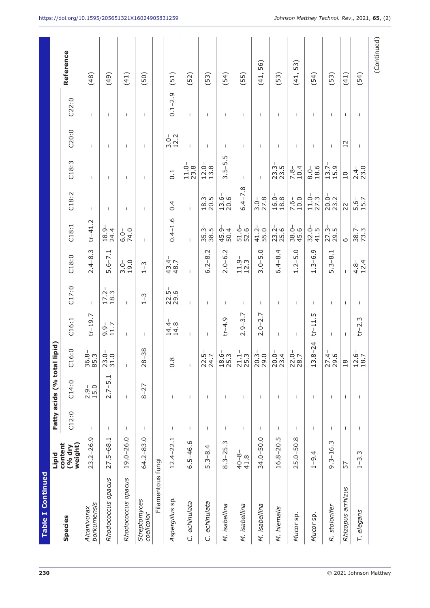| Table I Continued          |                              |              |                          |                                     |                  |                                         |                                     |                     |                  |                                 |                  |                          |             |
|----------------------------|------------------------------|--------------|--------------------------|-------------------------------------|------------------|-----------------------------------------|-------------------------------------|---------------------|------------------|---------------------------------|------------------|--------------------------|-------------|
|                            | Lipid                        |              | Fatty acids (% total     | lipid)                              |                  |                                         |                                     |                     |                  |                                 |                  |                          |             |
| Species                    | content<br>weight)<br>(% dry | C12:0        | C14:0                    | 6:0<br>J                            | C16:1            | C17:0                                   | C18:0                               | C18:1               | C18:2            | C18:3                           | C20:0            | C22:0                    | Reference   |
| borkumensis<br>Alcanivorax | $23.2 - 26.9$                | 1            | 15.0<br>$2.9 -$          | $\frac{8}{3}$<br>36<br>85           | $tr-19.7$        | $\mathbf{I}$                            | $2.4 - 8.3$                         | $tr-41.2$           | $\mathsf{I}$     | $\mathsf{I}$                    | $\mathbf{I}$     | T                        | (48)        |
| Rhodococcus opacus         | $27.5 - 68.1$                | т            | 5.1<br>$2.7 - 1$         | $\overline{Q}$ o<br>23              | $9.9 - 1.7$      | $17.2 - 18.3$                           | $5.6 - 7.1$                         | 18.9<br>24.4        | т                | т                               | т                | т                        | (49)        |
| Rhodococcus opacus         | 19.0-26.0                    | T            | $\mathbf{I}$             | $\mathsf{I}$                        | $\mathsf{I}$     | $\mathsf{I}$                            | $3.0 - 19.0$                        | $6.0 - 74.0$        | $\mathsf{I}$     | $\mathsf{I}$                    | $\overline{1}$   | $\overline{\phantom{a}}$ | (41)        |
| Streptomyces<br>coelicolor | 64.2-83.0                    | $\mathsf{I}$ | $8 - 27$                 | 38<br>T<br>28                       | $\mathsf{I}$     | $\tilde{c}$<br>$\overline{\phantom{0}}$ | 3<br>-1<br>$\overline{\phantom{0}}$ | Т                   | $\mathsf{I}$     | $\mathsf{I}$                    | $\mathbf{I}$     | $\mathbf{I}$             | (50)        |
| Filamentous fungi          |                              |              |                          |                                     |                  |                                         |                                     |                     |                  |                                 |                  |                          |             |
| Aspergillus sp.            | ⊣<br>$12.4 - 22.$            | Ι.           | $\mathsf{I}$             | $0.\overline{8}$                    | $14.4 -$<br>14.8 | 22.5-<br>29.6                           | $43.4 -$<br>48.7                    | $0.4 - 1.6$         | 0.4              | $\overline{0}.1$                | 12.2<br>$-3.0 -$ | $0.1 - 2.9$              | (51)        |
| echinulata<br>Ġ            | $6.5 - 46.6$                 | $\mathbf{I}$ | $\overline{1}$           | $\mathbf{I}$                        | $\mathbf{I}$     | $\mathbf{I}$                            | $\mathbf{I}$                        | $\mathbf{I}$        | $\mathbf{I}$     | $11.0 -$<br>23.8                | $\mathbf{I}$     | $\mathbf{I}$             | (52)        |
| echinulata<br>Ġ            | $5.3 - 8.4$                  | 1            | $\overline{\phantom{a}}$ | $-5 - 7$<br>22<br>$\overline{2}$    | T                | T                                       | 8.2<br>$6.2 - 8$                    | $35.3 - 38.5$       | $18.3-$<br>20.5  | $12.0 - 13.8$                   | J.               | $\mathbf{I}$             | (53)        |
| M. isabellina              | $8.3 - 25.3$                 | 1            | T                        | ہ ف<br>د<br>18 <sub>0</sub>         | $t - 4.9$        | 1                                       | $2.0 - 6.2$                         | 45.9-<br>50.4       | $13.6-$<br>20.6  | $5 - 5.5$<br>$\dot{\mathsf{c}}$ | $\mathbf{I}$     | $\mathbf{I}$             | (54)        |
| M. isabellina              | $40 - 8 -$<br>41.8           | I            | J.                       | $\frac{1}{1}$ m.<br>71 <sub>5</sub> | $2.9 - 3.7$      | $\mathbf{I}$                            | $11.9 -$<br>$12.3$                  | 51.6-<br>52.6       | $6.4 - 7.8$      | $\mathbf{I}$                    | т                | $\overline{1}$           | (55)        |
| M. isabellina              | 34.0-50.0                    | J.           | $\mathsf{I}$             | 3.0<br>29                           | $2.0 - 2.7$      | $\mathsf{l}$                            | $3.0 - 5.0$                         | $41.2 - 55.0$       | $3.0 - 27.8$     | $\mathsf{I}$                    | $\overline{1}$   | $\mathsf{I}$             | (41, 56)    |
| M. hiemalis                | 16.8-20.5                    | 1            | $\mathbf{I}$             | $\vec{p}$ 4<br>23                   | T                | $\mathsf{I}$                            | $6.4 - 8.4$                         | $23.2 - 25.6$       | $16.0 -$<br>18.8 | $23.3-$<br>23.5                 | $\mathbf{I}$     | $\mathbf{I}$             | (53)        |
| Mucor sp.                  | $25.0 - 50.8$                | J.           | J.                       | $-9.7$<br>28                        | J.               | $\mathsf{I}$                            | $1.2 - 5.0$                         | $38.0 -$<br>45.6    | 10.0<br>$7.6 -$  | 10.4<br>$7.8 -$                 | T                | $\mathsf{I}$             | (41, 53)    |
| Mucor sp.                  | $1 - 9.4$                    | T            | $\mathbf{I}$             | $.8 - 24$<br>13                     | $t - 11.5$       | $\mathsf{I}$                            | $1.3 - 6.9$                         | $32.0 -$<br>41.5    | $11.0 -$<br>27.3 | 18.6<br>$8.0 -$                 | $\mathsf{I}$     | $\mathsf{I}$             | (54)        |
| R. stolonifer              | $9.3 - 16.3$                 | т            | т                        | $\frac{9}{4}$ .6<br>27              | T                | T                                       | $5.3 - 8.1$                         | $27.3 - 29.5$       | $20.0 -$<br>23.2 | $13.7-$<br>15.9                 | T                | т                        | (53)        |
| Rhizopus arrhizus          | 57                           | $\mathbf{I}$ | $\mathbf{I}$             | $\frac{8}{10}$                      | $\mathbf{I}$     | $\mathbf{I}$                            | $\mathbf{I}$                        | $\circ$             | 22               | $\overline{10}$                 | 12               | $\mathbf{I}$             | (41)        |
| T. elegans                 | $1 - 3.3$                    | I            | $\overline{\phantom{a}}$ | $-9.7$<br>128                       | $tr-2.3$         | т                                       | $4.\overline{8} -$<br>12.4          | $\frac{38.7}{73.3}$ | $5.6 - 15.7$     | $2.4 - 2.0$                     | I                | I                        | (54)        |
|                            |                              |              |                          |                                     |                  |                                         |                                     |                     |                  |                                 |                  |                          | (Continued) |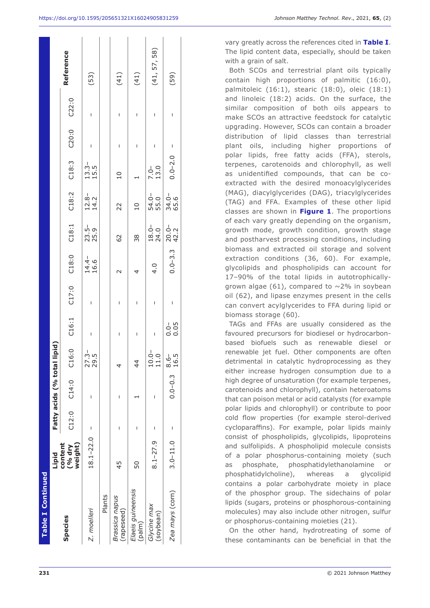| <b>Table I Continued</b>           |                              |       |                             |                  |                   |                         |                  |                  |                    |                    |                   |   |              |
|------------------------------------|------------------------------|-------|-----------------------------|------------------|-------------------|-------------------------|------------------|------------------|--------------------|--------------------|-------------------|---|--------------|
|                                    | Lipid                        |       | Fatty acids (% total lipid) |                  |                   |                         |                  |                  |                    |                    |                   |   |              |
| Species                            | weight)<br>content<br>(% dry | C12:0 | C14:0                       |                  |                   | C16:0 C16:1 C17:0 C18:0 |                  | C18:1            | C18:2              |                    | C18:3 C20:0 C22:0 |   | Reference    |
| Z. moelleri                        | $18.1 - 22.0$                | I     | I                           | 27.3-<br>29.5    | I                 | I                       | $14.4 -$<br>16.6 | 23.5 –<br>25.9   | $12.8 -$<br>$14.2$ | $13.3 -$<br>$15.5$ | I                 | I | (53)         |
| Plants                             |                              |       |                             |                  |                   |                         |                  |                  |                    |                    |                   |   |              |
| <b>Brassica</b> napus<br>rapeseed) | 45                           | I     | ı                           |                  | I                 | I                       |                  | 62               | 22                 | $\overline{a}$     | I                 | I | (41)         |
| Elaeis guineensis<br>palm)         | 50                           | I     |                             | $\frac{4}{4}$    | I                 | I                       | 4                | 38               | $\overline{a}$     |                    | I                 | I | (41)         |
| Glycine max<br>(soybean)           | $8.1 - 27.9$                 | I     |                             | $10.0 -$<br>11.0 | I                 | I                       | 4.0              | $18.0 - 24.0$    | 54.0-<br>55.0      | $7.0 -$<br>13.0    | I                 | I | (41, 57, 58) |
| Zea mays (corn)                    | $3.0 - 11.0$                 | I     | $0.0 - 0.3$ $3.5 -$         | 16.5             | $\frac{1}{0}$ 0.5 | I                       | $0.0 - 3.3$      | $20.0 -$<br>42.2 | $34.0 -$<br>65.6   | $0.0 - 2.0 -$      |                   | I | (59)         |
|                                    |                              |       |                             |                  |                   |                         |                  |                  |                    |                    |                   |   |              |

vary greatly across the references cited in **Table I**. The lipid content data, especially, should be taken with a grain of salt.

Both SCOs and terrestrial plant oils typically contain high proportions of palmitic (16:0), palmitoleic (16:1), stearic (18:0), oleic (18:1) and linoleic (18:2) acids. On the surface, the similar composition of both oils appears to make SCOs an attractive feedstock for catalytic upgrading. However, SCOs can contain a broader distribution of lipid classes than terrestrial plant oils, including higher proportions of polar lipids, free fatty acids (FFA), sterols, terpenes, carotenoids and chlorophyll, as well as unidentified compounds, that can be coextracted with the desired monoacylglycerides (MAG), diacylglycerides (DAG), triacylglycerides (TAG) and FFA. Examples of these other lipid classes are shown in **Figure 1**. The proportions of each vary greatly depending on the organism, growth mode, growth condition, growth stage and postharvest processing conditions, including biomass and extracted oil storage and solvent extraction conditions (36, 60). For example, glycolipids and phospholipids can account for 17–90% of the total lipids in autotrophicallygrown algae (61), compared to  $\sim$ 2% in soybean oil (62), and lipase enzymes present in the cells can convert acylglycerides to FFA during lipid or biomass storage (60).

TAGs and FFAs are usually considered as the favoured precursors for biodiesel or hydrocarbonbased biofuels such as renewable diesel or renewable jet fuel. Other components are often detrimental in catalytic hydroprocessing as they either increase hydrogen consumption due to a high degree of unsaturation (for example terpenes, carotenoids and chlorophyll), contain heteroatoms that can poison metal or acid catalysts (for example polar lipids and chlorophyll) or contribute to poor cold flow properties (for example sterol-derived cycloparaffins). For example, polar lipids mainly consist of phospholipids, glycolipids, lipoproteins and sulfolipids. A phospholipid molecule consists of a polar phosphorus-containing moiety (such as phosphate, phosphatidylethanolamine or phosphatidylcholine), whereas a glycolipid contains a polar carbohydrate moiety in place of the phosphor group. The sidechains of polar lipids (sugars, proteins or phosphorous-containing molecules) may also include other nitrogen, sulfur or phosphorus-containing moieties (21).

On the other hand, hydrotreating of some of these contaminants can be beneficial in that the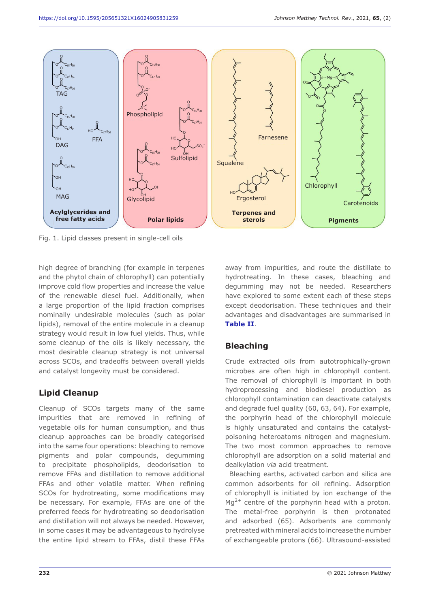

high degree of branching (for example in terpenes and the phytol chain of chlorophyll) can potentially improve cold flow properties and increase the value of the renewable diesel fuel. Additionally, when a large proportion of the lipid fraction comprises nominally undesirable molecules (such as polar lipids), removal of the entire molecule in a cleanup strategy would result in low fuel yields. Thus, while some cleanup of the oils is likely necessary, the most desirable cleanup strategy is not universal across SCOs, and tradeoffs between overall yields and catalyst longevity must be considered.

## **Lipid Cleanup**

Cleanup of SCOs targets many of the same impurities that are removed in refining of vegetable oils for human consumption, and thus cleanup approaches can be broadly categorised into the same four operations: bleaching to remove pigments and polar compounds, degumming to precipitate phospholipids, deodorisation to remove FFAs and distillation to remove additional FFAs and other volatile matter. When refining SCOs for hydrotreating, some modifications may be necessary. For example, FFAs are one of the preferred feeds for hydrotreating so deodorisation and distillation will not always be needed. However, in some cases it may be advantageous to hydrolyse the entire lipid stream to FFAs, distil these FFAs away from impurities, and route the distillate to hydrotreating. In these cases, bleaching and degumming may not be needed. Researchers have explored to some extent each of these steps except deodorisation. These techniques and their advantages and disadvantages are summarised in **Table II**.

## **Bleaching**

Crude extracted oils from autotrophically-grown microbes are often high in chlorophyll content. The removal of chlorophyll is important in both hydroprocessing and biodiesel production as chlorophyll contamination can deactivate catalysts and degrade fuel quality (60, 63, 64). For example, the porphyrin head of the chlorophyll molecule is highly unsaturated and contains the catalystpoisoning heteroatoms nitrogen and magnesium. The two most common approaches to remove chlorophyll are adsorption on a solid material and dealkylation *via* acid treatment.

Bleaching earths, activated carbon and silica are common adsorbents for oil refining. Adsorption of chlorophyll is initiated by ion exchange of the  $Ma^{2+}$  centre of the porphyrin head with a proton. The metal-free porphyrin is then protonated and adsorbed (65). Adsorbents are commonly pretreated with mineral acids to increase the number of exchangeable protons (66). Ultrasound-assisted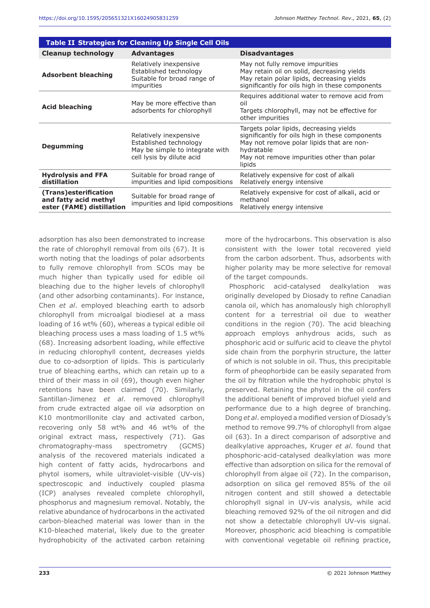|                                                                             | <b>Table II Strategies for Cleaning Up Single Cell Oils</b>                                                      |                                                                                                                                                                                                               |
|-----------------------------------------------------------------------------|------------------------------------------------------------------------------------------------------------------|---------------------------------------------------------------------------------------------------------------------------------------------------------------------------------------------------------------|
| <b>Cleanup technology</b>                                                   | <b>Advantages</b>                                                                                                | <b>Disadvantages</b>                                                                                                                                                                                          |
| <b>Adsorbent bleaching</b>                                                  | Relatively inexpensive<br>Established technology<br>Suitable for broad range of<br>impurities                    | May not fully remove impurities<br>May retain oil on solid, decreasing yields<br>May retain polar lipids, decreasing yields<br>significantly for oils high in these components                                |
| <b>Acid bleaching</b>                                                       | May be more effective than<br>adsorbents for chlorophyll                                                         | Requires additional water to remove acid from<br>oil<br>Targets chlorophyll, may not be effective for<br>other impurities                                                                                     |
| <b>Degumming</b>                                                            | Relatively inexpensive<br>Established technology<br>May be simple to integrate with<br>cell lysis by dilute acid | Targets polar lipids, decreasing yields<br>significantly for oils high in these components<br>May not remove polar lipids that are non-<br>hydratable<br>May not remove impurities other than polar<br>lipids |
| <b>Hydrolysis and FFA</b><br>distillation                                   | Suitable for broad range of<br>impurities and lipid compositions                                                 | Relatively expensive for cost of alkali<br>Relatively energy intensive                                                                                                                                        |
| (Trans)esterification<br>and fatty acid methyl<br>ester (FAME) distillation | Suitable for broad range of<br>impurities and lipid compositions                                                 | Relatively expensive for cost of alkali, acid or<br>methanol<br>Relatively energy intensive                                                                                                                   |

adsorption has also been demonstrated to increase the rate of chlorophyll removal from oils (67). It is worth noting that the loadings of polar adsorbents to fully remove chlorophyll from SCOs may be much higher than typically used for edible oil bleaching due to the higher levels of chlorophyll (and other adsorbing contaminants). For instance, Chen *et al*. employed bleaching earth to adsorb chlorophyll from microalgal biodiesel at a mass loading of 16 wt% (60), whereas a typical edible oil bleaching process uses a mass loading of 1.5 wt% (68). Increasing adsorbent loading, while effective in reducing chlorophyll content, decreases yields due to co-adsorption of lipids. This is particularly true of bleaching earths, which can retain up to a third of their mass in oil (69), though even higher retentions have been claimed (70). Similarly, Santillan-Jimenez *et al*. removed chlorophyll from crude extracted algae oil *via* adsorption on K10 montmorillonite clay and activated carbon, recovering only 58 wt% and 46 wt% of the original extract mass, respectively (71). Gas chromatography-mass spectrometry (GCMS) analysis of the recovered materials indicated a high content of fatty acids, hydrocarbons and phytol isomers, while ultraviolet-visible (UV-vis) spectroscopic and inductively coupled plasma (ICP) analyses revealed complete chlorophyll, phosphorus and magnesium removal. Notably, the relative abundance of hydrocarbons in the activated carbon-bleached material was lower than in the K10-bleached material, likely due to the greater hydrophobicity of the activated carbon retaining

more of the hydrocarbons. This observation is also consistent with the lower total recovered yield from the carbon adsorbent. Thus, adsorbents with higher polarity may be more selective for removal of the target compounds.

Phosphoric acid-catalysed dealkylation was originally developed by Diosady to refine Canadian canola oil, which has anomalously high chlorophyll content for a terrestrial oil due to weather conditions in the region (70). The acid bleaching approach employs anhydrous acids, such as phosphoric acid or sulfuric acid to cleave the phytol side chain from the porphyrin structure, the latter of which is not soluble in oil. Thus, this precipitable form of pheophorbide can be easily separated from the oil by filtration while the hydrophobic phytol is preserved. Retaining the phytol in the oil confers the additional benefit of improved biofuel yield and performance due to a high degree of branching. Dong *et al*. employed a modified version of Diosady's method to remove 99.7% of chlorophyll from algae oil (63). In a direct comparison of adsorptive and dealkylative approaches, Kruger *et al*. found that phosphoric-acid-catalysed dealkylation was more effective than adsorption on silica for the removal of chlorophyll from algae oil (72). In the comparison, adsorption on silica gel removed 85% of the oil nitrogen content and still showed a detectable chlorophyll signal in UV-vis analysis, while acid bleaching removed 92% of the oil nitrogen and did not show a detectable chlorophyll UV-vis signal. Moreover, phosphoric acid bleaching is compatible with conventional vegetable oil refining practice,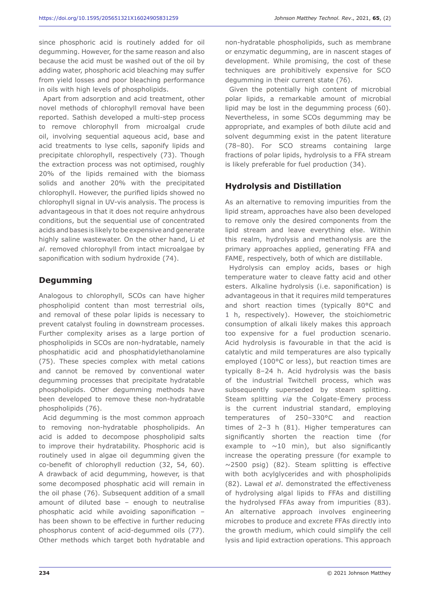since phosphoric acid is routinely added for oil degumming. However, for the same reason and also because the acid must be washed out of the oil by adding water, phosphoric acid bleaching may suffer from yield losses and poor bleaching performance in oils with high levels of phospholipids.

Apart from adsorption and acid treatment, other novel methods of chlorophyll removal have been reported. Sathish developed a multi-step process to remove chlorophyll from microalgal crude oil, involving sequential aqueous acid, base and acid treatments to lyse cells, saponify lipids and precipitate chlorophyll, respectively (73). Though the extraction process was not optimised, roughly 20% of the lipids remained with the biomass solids and another 20% with the precipitated chlorophyll. However, the purified lipids showed no chlorophyll signal in UV-vis analysis. The process is advantageous in that it does not require anhydrous conditions, but the sequential use of concentrated acids and bases is likely to be expensive and generate highly saline wastewater. On the other hand, Li *et al*. removed chlorophyll from intact microalgae by saponification with sodium hydroxide (74).

## **Degumming**

Analogous to chlorophyll, SCOs can have higher phospholipid content than most terrestrial oils, and removal of these polar lipids is necessary to prevent catalyst fouling in downstream processes. Further complexity arises as a large portion of phospholipids in SCOs are non-hydratable, namely phosphatidic acid and phosphatidylethanolamine (75). These species complex with metal cations and cannot be removed by conventional water degumming processes that precipitate hydratable phospholipids. Other degumming methods have been developed to remove these non-hydratable phospholipids (76).

Acid degumming is the most common approach to removing non-hydratable phospholipids. An acid is added to decompose phospholipid salts to improve their hydratability. Phosphoric acid is routinely used in algae oil degumming given the co-benefit of chlorophyll reduction (32, 54, 60). A drawback of acid degumming, however, is that some decomposed phosphatic acid will remain in the oil phase (76). Subsequent addition of a small amount of diluted base – enough to neutralise phosphatic acid while avoiding saponification – has been shown to be effective in further reducing phosphorus content of acid-degummed oils (77). Other methods which target both hydratable and

non-hydratable phospholipids, such as membrane or enzymatic degumming, are in nascent stages of development. While promising, the cost of these techniques are prohibitively expensive for SCO degumming in their current state (76).

Given the potentially high content of microbial polar lipids, a remarkable amount of microbial lipid may be lost in the degumming process (60). Nevertheless, in some SCOs degumming may be appropriate, and examples of both dilute acid and solvent degumming exist in the patent literature (78–80). For SCO streams containing large fractions of polar lipids, hydrolysis to a FFA stream is likely preferable for fuel production (34).

## **Hydrolysis and Distillation**

As an alternative to removing impurities from the lipid stream, approaches have also been developed to remove only the desired components from the lipid stream and leave everything else. Within this realm, hydrolysis and methanolysis are the primary approaches applied, generating FFA and FAME, respectively, both of which are distillable.

Hydrolysis can employ acids, bases or high temperature water to cleave fatty acid and other esters. Alkaline hydrolysis (i.e. saponification) is advantageous in that it requires mild temperatures and short reaction times (typically 80°C and 1 h, respectively). However, the stoichiometric consumption of alkali likely makes this approach too expensive for a fuel production scenario. Acid hydrolysis is favourable in that the acid is catalytic and mild temperatures are also typically employed (100°C or less), but reaction times are typically 8–24 h. Acid hydrolysis was the basis of the industrial Twitchell process, which was subsequently superseded by steam splitting. Steam splitting *via* the Colgate-Emery process is the current industrial standard, employing temperatures of 250–330°C and reaction times of 2–3 h (81). Higher temperatures can significantly shorten the reaction time (for example to  $\sim$ 10 min), but also significantly increase the operating pressure (for example to  $\sim$ 2500 psig) (82). Steam splitting is effective with both acylglycerides and with phospholipids (82). Lawal *et al*. demonstrated the effectiveness of hydrolysing algal lipids to FFAs and distilling the hydrolysed FFAs away from impurities (83). An alternative approach involves engineering microbes to produce and excrete FFAs directly into the growth medium, which could simplify the cell lysis and lipid extraction operations. This approach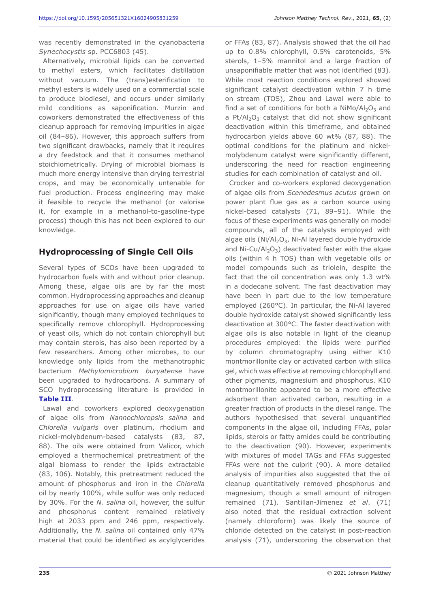was recently demonstrated in the cyanobacteria *Synechocystis* sp. PCC6803 (45).

Alternatively, microbial lipids can be converted to methyl esters, which facilitates distillation without vacuum. The (trans)esterification to methyl esters is widely used on a commercial scale to produce biodiesel, and occurs under similarly mild conditions as saponification. Murzin and coworkers demonstrated the effectiveness of this cleanup approach for removing impurities in algae oil (84–86). However, this approach suffers from two significant drawbacks, namely that it requires a dry feedstock and that it consumes methanol stoichiometrically. Drying of microbial biomass is much more energy intensive than drying terrestrial crops, and may be economically untenable for fuel production. Process engineering may make it feasible to recycle the methanol (or valorise it, for example in a methanol-to-gasoline-type process) though this has not been explored to our knowledge.

#### **Hydroprocessing of Single Cell Oils**

Several types of SCOs have been upgraded to hydrocarbon fuels with and without prior cleanup. Among these, algae oils are by far the most common. Hydroprocessing approaches and cleanup approaches for use on algae oils have varied significantly, though many employed techniques to specifically remove chlorophyll. Hydroprocessing of yeast oils, which do not contain chlorophyll but may contain sterols, has also been reported by a few researchers. Among other microbes, to our knowledge only lipids from the methanotrophic bacterium *Methylomicrobium buryatense* have been upgraded to hydrocarbons. A summary of SCO hydroprocessing literature is provided in **Table III**.

Lawal and coworkers explored deoxygenation of algae oils from *Nannochloropsis salina* and *Chlorella vulgaris* over platinum, rhodium and nickel-molybdenum-based catalysts (83, 87, 88). The oils were obtained from Valicor, which employed a thermochemical pretreatment of the algal biomass to render the lipids extractable (83, 106). Notably, this pretreatment reduced the amount of phosphorus and iron in the *Chlorella* oil by nearly 100%, while sulfur was only reduced by 30%. For the *N. salina* oil, however, the sulfur and phosphorus content remained relatively high at 2033 ppm and 246 ppm, respectively. Additionally, the *N. salina* oil contained only 47% material that could be identified as acylglycerides or FFAs (83, 87). Analysis showed that the oil had up to 0.8% chlorophyll, 0.5% carotenoids, 5% sterols, 1–5% mannitol and a large fraction of unsaponifiable matter that was not identified (83). While most reaction conditions explored showed significant catalyst deactivation within 7 h time on stream (TOS), Zhou and Lawal were able to find a set of conditions for both a  $NiMo/Al_2O_3$  and a Pt/A $1.02$  catalyst that did not show significant deactivation within this timeframe, and obtained hydrocarbon yields above 60 wt% (87, 88). The optimal conditions for the platinum and nickelmolybdenum catalyst were significantly different, underscoring the need for reaction engineering studies for each combination of catalyst and oil.

Crocker and co-workers explored deoxygenation of algae oils from *Scenedesmus acutus* grown on power plant flue gas as a carbon source using nickel-based catalysts (71, 89–91). While the focus of these experiments was generally on model compounds, all of the catalysts employed with algae oils (Ni/Al<sub>2</sub>O<sub>3</sub>, Ni-Al layered double hydroxide and Ni-Cu/Al<sub>2</sub>O<sub>3</sub>) deactivated faster with the algae oils (within 4 h TOS) than with vegetable oils or model compounds such as triolein, despite the fact that the oil concentration was only 1.3 wt% in a dodecane solvent. The fast deactivation may have been in part due to the low temperature employed (260°C). In particular, the Ni-Al layered double hydroxide catalyst showed significantly less deactivation at 300°C. The faster deactivation with algae oils is also notable in light of the cleanup procedures employed: the lipids were purified by column chromatography using either K10 montmorillonite clay or activated carbon with silica gel, which was effective at removing chlorophyll and other pigments, magnesium and phosphorus. K10 montmorillonite appeared to be a more effective adsorbent than activated carbon, resulting in a greater fraction of products in the diesel range. The authors hypothesised that several unquantified components in the algae oil, including FFAs, polar lipids, sterols or fatty amides could be contributing to the deactivation (90). However, experiments with mixtures of model TAGs and FFAs suggested FFAs were not the culprit (90). A more detailed analysis of impurities also suggested that the oil cleanup quantitatively removed phosphorus and magnesium, though a small amount of nitrogen remained (71). Santillan-Jimenez *et al*. (71) also noted that the residual extraction solvent (namely chloroform) was likely the source of chloride detected on the catalyst in post-reaction analysis (71), underscoring the observation that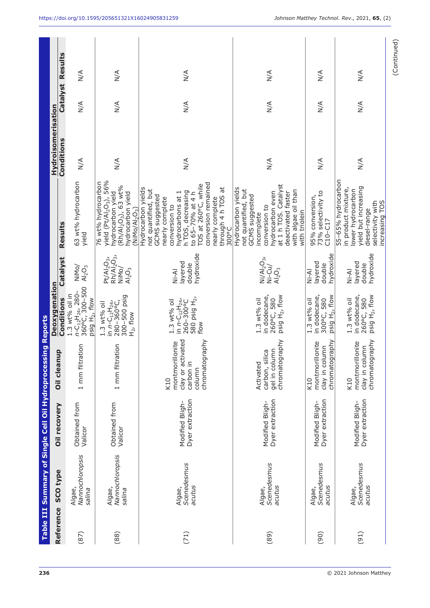| <b>Table III</b> |                                     | Summary of Single Cell Oil Hydroprocessing Reports |                                                                                      |                                                                                                                          |                                                                            |                                                                                                                                                                                                                                                               |                             |                                   |                  |
|------------------|-------------------------------------|----------------------------------------------------|--------------------------------------------------------------------------------------|--------------------------------------------------------------------------------------------------------------------------|----------------------------------------------------------------------------|---------------------------------------------------------------------------------------------------------------------------------------------------------------------------------------------------------------------------------------------------------------|-----------------------------|-----------------------------------|------------------|
| Reference        | <b>SCO type</b>                     | Oil recovery                                       | qın<br>Oil clean                                                                     | Deoxygenation                                                                                                            |                                                                            |                                                                                                                                                                                                                                                               | Hydroisomerisation          |                                   |                  |
| (87)             | Nannochloropsis<br>Algae,<br>salina | Obtained from<br>Valicor                           | 1 mm filtration                                                                      | n-C <sub>12</sub> H <sub>24</sub> , 280-<br>360°C, 300-500<br>1.3 wt% oil in<br>Conditions<br>psig H <sub>2</sub> , flow | Catalyst<br>NiMo/<br>$Al_2O_3$                                             | 63 wt% hydrocarbon<br>Results<br>yield                                                                                                                                                                                                                        | Conditions<br>$\frac{4}{2}$ | Catalyst Results<br>$\frac{4}{2}$ | $\frac{4}{2}$    |
| (88)             | Nannochloropsis<br>Algae,<br>salina | Obtained from<br>Valicor                           | 1 mm filtration                                                                      | 300-500 psig<br>in n-C <sub>12</sub> H <sub>24</sub> ,<br>280-360°C,<br>1.3 wt% oil<br>$H_2$ , flow                      | $Rh/A\bar{l}_2O_3$<br>$Pt/Al_2O_3$<br>NiMo/<br>$\mathsf{Al}_2\mathsf{O}_3$ | yield (Pt/Al <sub>2</sub> O <sub>3</sub> ), 56%<br>76 wt% hydrocarbon<br>$(Rh/AI_2O_3)$ , 63 wt%<br>hydrocarbon yield<br>hydrocarbon yield<br>(NIMO/A1, O <sub>3</sub> )                                                                                      | $\sum_{i=1}^{n}$            | $\frac{4}{2}$                     | $\sum_{i=1}^{n}$ |
| (71)             | Scenedesmus<br>acutus<br>Algae,     | Dyer extraction<br>Modified Bligh-                 | clay or activated<br>chromatography<br>montmorillonite<br>carbon in<br>column<br>K10 | 580 psig H <sub>2</sub> ,<br>in n-C <sub>12</sub> H <sub>24</sub> ,<br>260-300°C<br>1.3 wt% oil<br>flow                  | hydroxide<br>layered<br>double<br>Ni-Al                                    | conversion remained<br>TOS at 260°C, while<br>through 4 h TOS at<br>Hydrocarbon yields<br>not quantified, but<br>h TOS, decreasing<br>to 65–70% at 4 h<br>hydrocarbons at 1<br>GCMS suggested<br>nearly complete<br>nearly complete<br>conversion to<br>300°C | $\frac{1}{2}$               | $\frac{4}{2}$                     | $\frac{4}{2}$    |
| (89)             | Scenedesmus<br>acutus<br>Algae,     | Dyer extraction<br>Modified Bligh-                 | chromatography<br>gel in column<br>ГG<br>С<br>carbon, sil<br>Activated               | in dodecane,<br>psig H <sub>2</sub> , flow<br>260°C, 580<br>1.3 wt% oil                                                  | $Ni/Al_2O_3$<br>Ni-Cu/<br>$Al_2O_3$                                        | at 1 h TOS. Catalyst<br>Hydrocarbon yields<br>not quantified, but<br>with algae oil than<br>deactivated faster<br>hydrocarbon even<br>GCMS suggested<br>conversion to<br>with triolein<br>incomplete                                                          | $\frac{4}{2}$               | $\frac{1}{2}$                     | $\frac{4}{2}$    |
| (90)             | Scenedesmus<br>acutus<br>Algae,     | Dyer extraction<br>Modified Bligh-                 | chromatography<br>montmorillonite<br>clay in column<br>K10                           | in dodecane,<br>psig $H_2$ , flow<br>300°C, 580<br>1.3 wt% oil                                                           | hydroxide<br>layered<br>double<br>Ni-Al                                    | 73% selectivity to<br>95% conversion,<br>$C10-C17$                                                                                                                                                                                                            | $\leq$                      | $\frac{4}{2}$                     | $\leq$           |
| (91)             | Scenedesmus<br>acutus<br>Algae,     | Dyer extraction<br>Modified Bligh-                 | chromatography<br>montmorillonite<br>clay in column<br>K10                           | in dodecane,<br>psig H <sub>2</sub> , flow<br>260°C, 580<br>1.3 wt% oil                                                  | hydroxide<br>layered<br>double<br>Ni-Al                                    | 55-65% hydrocarbon<br>yield but increasing<br>in product mixture,<br>lower hydrocarbon<br>selectivity with<br>increasing TOS<br>diesel-range                                                                                                                  | $\leq$                      | $\leq$                            | $\frac{4}{2}$    |
|                  |                                     |                                                    |                                                                                      |                                                                                                                          |                                                                            |                                                                                                                                                                                                                                                               |                             |                                   | (Continued)      |

**236** © 2021 Johnson Matthey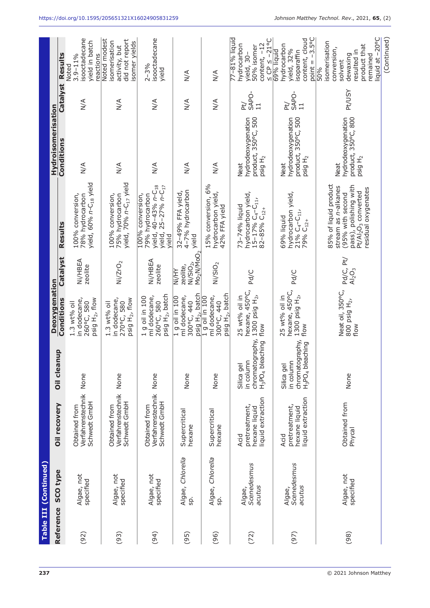|           | Table III (Continued)           |                                                             |                                                                                        |                                                                             |                                                                                |                                                                                                                                                                 |                                                                          |                                 |                                                                                                                          |
|-----------|---------------------------------|-------------------------------------------------------------|----------------------------------------------------------------------------------------|-----------------------------------------------------------------------------|--------------------------------------------------------------------------------|-----------------------------------------------------------------------------------------------------------------------------------------------------------------|--------------------------------------------------------------------------|---------------------------------|--------------------------------------------------------------------------------------------------------------------------|
| Reference | <b>SCO type</b>                 | Oil recovery                                                | Oil cleanup                                                                            | Deoxygenation                                                               |                                                                                |                                                                                                                                                                 | Hydroisomerisation                                                       |                                 |                                                                                                                          |
|           |                                 |                                                             |                                                                                        | Conditions                                                                  | Catalyst                                                                       | Results                                                                                                                                                         | Conditions                                                               | Catalyst                        | Results                                                                                                                  |
| (92)      | Algae, not<br>specified         | Verfahrenstechnik None<br>Schwedt GmbH<br>Obtained from     |                                                                                        | in dodecane,<br>psig H <sub>2</sub> , flow<br>260°C, 580<br>1.3 wt% oil     | Ni/HBEA<br>zeolite                                                             | yield, 60% n-C <sub>18</sub> yield<br>100% conversion,<br>78% hydrocarbon                                                                                       | $\leq$                                                                   | $\frac{4}{2}$                   | isooctadecane<br>yield in batch<br>$3.9 - 11%$<br>reactions<br>Noted                                                     |
| (93)      | Algae, not<br>specified         | Verfahrenstechnik<br>Schwedt GmbH<br>Obtained from          | None                                                                                   | in dodecane,<br>psig H <sub>2</sub> , flow<br>270°C, 580<br>1.3 wt% oil     | Ni/ZrO <sub>2</sub>                                                            | yield, $70%$ $n$ -C <sub>17</sub> yield<br>100% conversion,<br>75% hydrocarbon                                                                                  | $\leq$                                                                   | $\leq$                          | Noted modest<br>did not report<br>isomerisation<br>isomer yields<br>activity, but                                        |
| (94)      | Algae, not<br>specified         | Verfahrenstechnik None<br>Schwedt GmbH<br>Obtained from     |                                                                                        | psig H <sub>2</sub> , batch<br>ml dodecane,<br>1 g oil in 100<br>260°C, 580 | Ni/HBEA<br>zeolite                                                             | yield, 40-43% n-C <sub>18</sub><br>yield, 25-27% n-C <sub>17</sub><br>100% conversion,<br>79% hydrocarbon<br>vield                                              | $\frac{4}{2}$                                                            | $\leq$                          | isooctadecane<br>$2 - 3%$<br>yield                                                                                       |
| (95)      | Algae, Chlorella<br>sp.         | Supercritical<br>hexane                                     | None                                                                                   | psig H <sub>2</sub> , batch<br>ml dodecane,<br>1 g oil in 100<br>300°C, 440 | Mo <sub>2</sub> N/MoO <sub>2</sub><br>Ni/SiO <sub>2</sub><br>zeolite,<br>Ni/HY | 4-7% hydrocarbon<br>32-49% FFA yield,<br>yield                                                                                                                  | $\frac{4}{\sqrt{2}}$                                                     | $\frac{4}{2}$                   | $\frac{1}{2}$                                                                                                            |
| (96)      | Algae, Chlorella<br>Sp.         | Supercritical<br>hexane                                     | None                                                                                   | psig H <sub>2</sub> , batch<br>ml dodecane,<br>1 g oil in 100<br>300°C, 440 | Ni/SiO <sub>2</sub>                                                            | 15% conversion, 6%<br>hydrocarbon yield,<br>42% FFA yield                                                                                                       | $\frac{4}{2}$                                                            | $\leq$                          | $\frac{4}{2}$                                                                                                            |
| (72)      | Scenedesmus<br>acutus<br>Algae, | liquid extraction<br>pretreatment,<br>hexane liquid<br>Acid | chromatography,<br>H <sub>3</sub> PO <sub>4</sub> bleaching<br>in column<br>Silica gel | hexane, 450°C,<br>1300 psig H <sub>2</sub><br>25 wt% oil in<br>flow         | Pd/C                                                                           | hydrocarbon yield,<br>$15 - 17% C4-C11$<br>73-74% liquid<br>82-85% C <sub>12+</sub>                                                                             | hydrodeoxygenation<br>product, 350°C, 500<br>psig H <sub>2</sub><br>Neat | SAPO-<br>Þt/<br>$\overline{11}$ | 77-81% liquid<br>$\leq$ CP $\leq$ -21°C<br>hydrocarbon<br>content, -12<br>50% isomer<br>yield, 30-                       |
| (97)      | Scenedesmus<br>acutus<br>Algae, | liquid extraction<br>pretreatment,<br>hexane liquid<br>Acid | chromatography,<br>H <sub>3</sub> PO <sub>4</sub> bleaching<br>in column<br>Silica gel | hexane, 450°C,<br>1300 psig H <sub>2</sub> ,<br>25 wt% oil in<br>flow       | Pd/C                                                                           | hydrocarbon yield,<br>21% C <sub>4</sub> -C <sub>11</sub><br>69% liquid<br>79% C <sub>12+</sub>                                                                 | hydrodeoxygenation<br>product, 350°C, 500<br>psig H <sub>2</sub><br>Neat | SAPO-<br>ÞĘ<br>11               | point = $-3.5$ °C<br>content, cloud<br>hydrocarbon<br>yield, 32%<br>69% liquid<br>isoparaffin                            |
| (98)      | Algae, not<br>specified         | Obtained from<br>Phycal                                     | None                                                                                   | Neat oil, 350°C,<br>800 psig H <sub>2</sub><br>flow                         | Pd/C, Pt/<br>Al <sub>2</sub> O <sub>3</sub>                                    | 85% of liquid product<br>pass), polishing with<br>stream as n-alkanes<br>residual oxygenates<br>Pt/Al <sub>2</sub> O <sub>3</sub> converted<br>(95% with second | product, 350°C, 800<br>hydrodeoxygenation<br>psig H <sub>2</sub><br>Neat | <b>Pt/USY</b>                   | liquid at -20°C<br>isomerisation<br>product that<br>conversion,<br>resulted in<br>dewaxing<br>remained<br>solvent<br>50% |
|           |                                 |                                                             |                                                                                        |                                                                             |                                                                                |                                                                                                                                                                 |                                                                          |                                 | (Continued)                                                                                                              |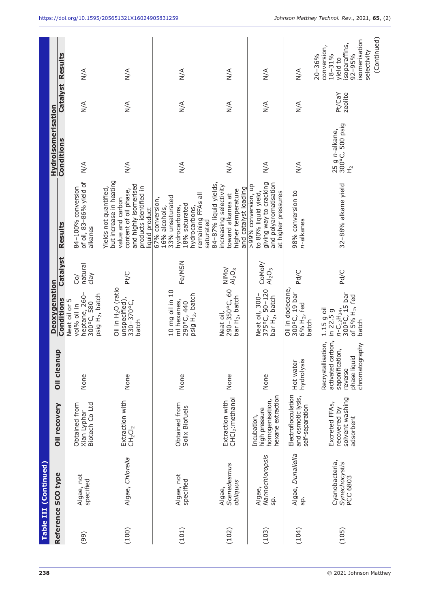|       | Table III (Continued)                       |                                                                      |                                                                                                         |                                                                                                          |                            |                                                                                                                                                                     |                                                  |                   |                                                                                                                |
|-------|---------------------------------------------|----------------------------------------------------------------------|---------------------------------------------------------------------------------------------------------|----------------------------------------------------------------------------------------------------------|----------------------------|---------------------------------------------------------------------------------------------------------------------------------------------------------------------|--------------------------------------------------|-------------------|----------------------------------------------------------------------------------------------------------------|
|       | Reference SCO type                          | Oil recovery                                                         | <b>Oil cleanup</b>                                                                                      | Deoxygenation                                                                                            |                            |                                                                                                                                                                     | Hydroisomerisation                               |                   |                                                                                                                |
|       |                                             |                                                                      |                                                                                                         | Conditions<br>Neat oil or 5                                                                              | Catalyst                   | Results                                                                                                                                                             | Conditions                                       | Catalyst Results  |                                                                                                                |
| (99)  | Algae, not<br>specified                     | Biotech Co Ltd<br>Obtained from<br>Xian Lyphar                       | None                                                                                                    | heptane, 260-<br>psig H <sub>2</sub> , batch<br>300°C, 580<br>vol% oil in                                | natural<br>$\sqrt{e}$<br>ò | of oil, 83-86% yield of<br>84-100% conversion<br>alkanes                                                                                                            | $\frac{1}{2}$                                    | $\frac{4}{2}$     | $\leq$                                                                                                         |
| (100) | Algae, Chlorella                            | Extraction with<br>$\mathsf{CH}_2\mathsf{Cl}_2$                      | None                                                                                                    | Oil in H <sub>2</sub> O (ratio<br>unspecified),<br>330-370°C,<br>batch                                   | Pt/C                       | but increase in heating<br>and highly isomerised<br>Yields not quantified,<br>products identified in<br>content of oil phase,<br>value and carbon<br>liquid product | $\frac{1}{2}$                                    | $\frac{4}{2}$     | $\frac{4}{\sqrt{2}}$                                                                                           |
| (101) | Algae, not<br>specified                     | Obtained from<br>Solix Biofuels                                      | None                                                                                                    | 10 mg oil in 10<br>psig H <sub>2</sub> , batch<br>ml hexanes,<br>290°C, 440                              | Fe/MSN                     | remaining FFAs all<br>33% unsaturated<br>67% conversion,<br>18% saturated<br>hydrocarbons,<br>16% alcohols,<br>hydrocarbons,<br>saturated                           | $\frac{1}{2}$                                    | $\frac{4}{2}$     | $\frac{1}{2}$                                                                                                  |
| (102) | <b>Scenedesmus</b><br>obliquus<br>Algae,    | CHCl <sub>2</sub> :methanol<br>Extraction with                       | None                                                                                                    | 290-350°C, 60<br>bar H <sub>2</sub> , batch<br>Neat oil,                                                 | NiMo/<br>$Al_2O_3$         | 84-87% liquid yields,<br>increasing selectivity<br>and catalyst loading<br>higher temperature<br>toward alkanes at                                                  | $\sum_{N}$                                       | $\frac{4}{2}$     | $\leq$                                                                                                         |
| (103) | Nannochloropsis<br>Algae,<br>SD.            | hexane extraction<br>homogenisation,<br>high pressure<br>Incubation, | None                                                                                                    | Neat oil, 300-<br>375°C, 50–120<br>bar H <sub>2</sub> , batch                                            | CoMoP/<br>$Al_2O_3$        | giving way to cracking<br>and polyaromatisation<br>>99% conversion, up<br>to 80% liquid yield,<br>at higher pressures                                               | $\frac{4}{2}$                                    | $\frac{4}{2}$     | $\frac{4}{\sqrt{2}}$                                                                                           |
| (104) | Algae, Dunaliella<br>sp.                    | Electroflocculation<br>and osmotic lysis,<br>self-separation         | hydrolysis<br>Hot water                                                                                 | Oil in dodecane,<br>300°C, 19 bar<br>6% H <sub>2</sub> , fed<br>batch                                    | Pd/C                       | 98% conversion to<br>n-alkanes                                                                                                                                      | $\frac{4}{2}$                                    | $\leq$            | $\frac{4}{2}$                                                                                                  |
| (105) | Cyanobacteria,<br>Synechocystis<br>PCC 6803 | solvent washing<br>Excreted FFAs,<br>recovered by<br>adsorbent       | activated carbon,<br>Recrystallisation,<br>chromatography<br>saponification,<br>phase liquid<br>reverse | 300°C, 15 bar<br>of $5%$ H <sub>2</sub> , fed<br>1.15 g oil<br>in $22.5g$<br>$n - C_{12}H_{24}$<br>batch | Pd/C                       | 32-88% alkane yield                                                                                                                                                 | 300°C, 500 psig<br>25 g n-alkane,<br>$\vec{\pm}$ | Pt/CaY<br>zeolite | isomerisation<br>isoparaffins,<br>conversion,<br>selectivity<br>$18 - 31%$<br>$92 - 95%$<br>20-36%<br>yield to |
|       |                                             |                                                                      |                                                                                                         |                                                                                                          |                            |                                                                                                                                                                     |                                                  |                   | (Continued)                                                                                                    |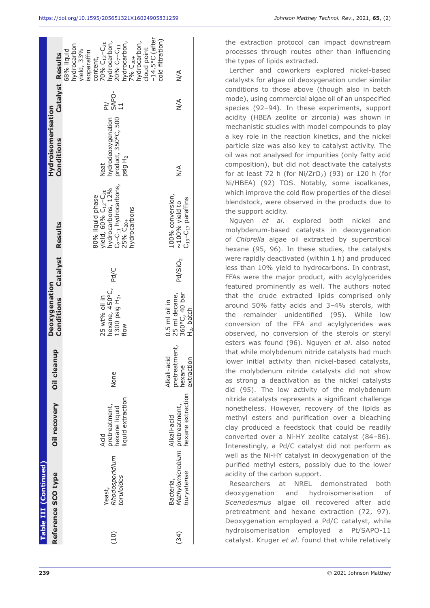|      | Table III (Continued)                                     |                                                            |                                                      |                                                                       |                     |                                                                                                                                                                               |                                                                          |                    |                                                                                                                                                                                                                                                                           |
|------|-----------------------------------------------------------|------------------------------------------------------------|------------------------------------------------------|-----------------------------------------------------------------------|---------------------|-------------------------------------------------------------------------------------------------------------------------------------------------------------------------------|--------------------------------------------------------------------------|--------------------|---------------------------------------------------------------------------------------------------------------------------------------------------------------------------------------------------------------------------------------------------------------------------|
|      |                                                           |                                                            | Oil cleanu                                           | Deoxygenation                                                         |                     |                                                                                                                                                                               | Hydroisomerisation                                                       |                    |                                                                                                                                                                                                                                                                           |
|      | Reference SCO type                                        | Oil recovery                                               |                                                      | <b>Conditions</b>                                                     | Catalyst            | Results                                                                                                                                                                       | Conditions                                                               |                    | Catalyst Results                                                                                                                                                                                                                                                          |
| (10) | Rhodosporidium<br>toruloides<br>Yeast,                    | iquid extraction<br>pretreatment,<br>hexane liquid<br>Acid | None                                                 | hexane, 450°C,<br>1300 psig H <sub>2</sub> ,<br>25 wt% oil in<br>flow | Pd/C                | hydrocarbons, 12%<br>C <sub>7</sub> -C <sub>11</sub> hydrocarbons,<br>80% liquid phase<br>yield, 60% C <sub>12</sub> -C <sub>20</sub><br>hydrocarbons<br>25% C <sub>20+</sub> | nydrodeoxygenation<br>product, 350°C, 500<br>psig H <sub>2</sub><br>Neat | Pt/<br>SAPO-<br>11 | $-14.5$ °C (after<br>cold filtration)<br>nydrocarbon,<br>nydrocarbon,<br>70% C <sub>12</sub> -C <sub>20</sub><br>hydrocarbon,<br>20% C <sub>7</sub> -C <sub>11</sub><br>hydrocarbon<br>cloud point<br>rield, 33%<br>68% liquid<br>isoparaffin<br>$796C_{20+}$<br>content, |
| (34) | Methylomicrobium pretreatment,<br>buryatense<br>Bacteria, | hexane extraction<br>Alkali-acid                           | pretreatment,<br>Alkali-acid<br>extraction<br>hexane | 25 ml decane,<br>360°C, 40 bar<br>$0.5$ ml oil in<br>$H_2$ , batch    | Pd/SiO <sub>2</sub> | 100% conversion,<br>C <sub>13</sub> -C <sub>17</sub> paraffins<br>$\sim$ 100% yield to                                                                                        | $\frac{4}{2}$                                                            | $\frac{4}{2}$      | $\frac{4}{2}$                                                                                                                                                                                                                                                             |
|      |                                                           |                                                            |                                                      |                                                                       |                     |                                                                                                                                                                               |                                                                          |                    |                                                                                                                                                                                                                                                                           |

the extraction protocol can impact downstream processes through routes other than influencing the types of lipids extracted.

Lercher and coworkers explored nickel-based catalysts for algae oil deoxygenation under similar conditions to those above (though also in batch mode), using commercial algae oil of an unspecified species (92–94). In these experiments, support acidity (HBEA zeolite or zirconia) was shown in mechanistic studies with model compounds to play a key role in the reaction kinetics, and the nickel particle size was also key to catalyst activity. The oil was not analysed for impurities (only fatty acid composition), but did not deactivate the catalysts for at least 72 h (for  $Ni/ZrO<sub>2</sub>$ ) (93) or 120 h (for Ni/HBEA) (92) TOS. Notably, some isoalkanes, which improve the cold flow properties of the diesel blendstock, were observed in the products due to the support acidity.

Nguyen *et al*. explored both nickel and molybdenum-based catalysts in deoxygenation of *Chlorella* algae oil extracted by supercritical hexane (95, 96). In these studies, the catalysts were rapidly deactivated (within 1 h) and produced less than 10% yield to hydrocarbons. In contrast, FFAs were the major product, with acylglycerides featured prominently as well. The authors noted that the crude extracted lipids comprised only around 50% fatty acids and 3–4% sterols, with the remainder unidentified (95). While low conversion of the FFA and acylglycerides was observed, no conversion of the sterols or steryl esters was found (96). Nguyen *et al*. also noted that while molybdenum nitride catalysts had much lower initial activity than nickel-based catalysts, the molybdenum nitride catalysts did not show as strong a deactivation as the nickel catalysts did (95). The low activity of the molybdenum nitride catalysts represents a significant challenge nonetheless. However, recovery of the lipids as methyl esters and purification over a bleaching clay produced a feedstock that could be readily converted over a Ni-HY zeolite catalyst (84–86). Interestingly, a Pd/C catalyst did not perform as well as the Ni-HY catalyst in deoxygenation of the purified methyl esters, possibly due to the lower acidity of the carbon support.

Researchers at NREL demonstrated both deoxygenation and hydroisomerisation of *Scenedesmus* algae oil recovered after acid pretreatment and hexane extraction (72, 97). Deoxygenation employed a Pd/C catalyst, while hydroisomerisation employed a Pt/SAPO-11 catalyst. Kruger *et al*. found that while relatively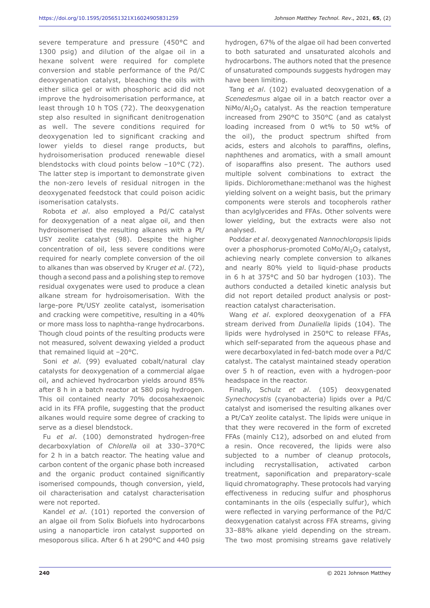severe temperature and pressure (450°C and 1300 psig) and dilution of the algae oil in a hexane solvent were required for complete conversion and stable performance of the Pd/C deoxygenation catalyst, bleaching the oils with either silica gel or with phosphoric acid did not improve the hydroisomerisation performance, at least through 10 h TOS (72). The deoxygenation step also resulted in significant denitrogenation as well. The severe conditions required for deoxygenation led to significant cracking and lower yields to diesel range products, but hydroisomerisation produced renewable diesel blendstocks with cloud points below –10°C (72). The latter step is important to demonstrate given the non-zero levels of residual nitrogen in the deoxygenated feedstock that could poison acidic isomerisation catalysts.

Robota *et al*. also employed a Pd/C catalyst for deoxygenation of a neat algae oil, and then hydroisomerised the resulting alkanes with a Pt/ USY zeolite catalyst (98). Despite the higher concentration of oil, less severe conditions were required for nearly complete conversion of the oil to alkanes than was observed by Kruger *et al*. (72), though a second pass and a polishing step to remove residual oxygenates were used to produce a clean alkane stream for hydroisomerisation. With the large-pore Pt/USY zeolite catalyst, isomerisation and cracking were competitive, resulting in a 40% or more mass loss to naphtha-range hydrocarbons. Though cloud points of the resulting products were not measured, solvent dewaxing yielded a product that remained liquid at –20°C.

Soni *et al*. (99) evaluated cobalt/natural clay catalysts for deoxygenation of a commercial algae oil, and achieved hydrocarbon yields around 85% after 8 h in a batch reactor at 580 psig hydrogen. This oil contained nearly 70% docosahexaenoic acid in its FFA profile, suggesting that the product alkanes would require some degree of cracking to serve as a diesel blendstock.

Fu *et al*. (100) demonstrated hydrogen-free decarboxylation of *Chlorella* oil at 330–370°C for 2 h in a batch reactor. The heating value and carbon content of the organic phase both increased and the organic product contained significantly isomerised compounds, though conversion, yield, oil characterisation and catalyst characterisation were not reported.

Kandel *et al*. (101) reported the conversion of an algae oil from Solix Biofuels into hydrocarbons using a nanoparticle iron catalyst supported on mesoporous silica. After 6 h at 290°C and 440 psig

hydrogen, 67% of the algae oil had been converted to both saturated and unsaturated alcohols and hydrocarbons. The authors noted that the presence of unsaturated compounds suggests hydrogen may have been limiting.

Tang *et al*. (102) evaluated deoxygenation of a *Scenedesmus* algae oil in a batch reactor over a  $NiMo/Al_2O_3$  catalyst. As the reaction temperature increased from 290°C to 350°C (and as catalyst loading increased from 0 wt% to 50 wt% of the oil), the product spectrum shifted from acids, esters and alcohols to paraffins, olefins, naphthenes and aromatics, with a small amount of isoparaffins also present. The authors used multiple solvent combinations to extract the lipids. Dichloromethane:methanol was the highest yielding solvent on a weight basis, but the primary components were sterols and tocopherols rather than acylglycerides and FFAs. Other solvents were lower yielding, but the extracts were also not analysed.

Poddar *et al*. deoxygenated *Nannochloropsis* lipids over a phosphorus-promoted  $CoMo/Al_2O_3$  catalyst, achieving nearly complete conversion to alkanes and nearly 80% yield to liquid-phase products in 6 h at 375°C and 50 bar hydrogen (103). The authors conducted a detailed kinetic analysis but did not report detailed product analysis or postreaction catalyst characterisation.

Wang *et al*. explored deoxygenation of a FFA stream derived from *Dunaliella* lipids (104). The lipids were hydrolysed in 250°C to release FFAs, which self-separated from the aqueous phase and were decarboxylated in fed-batch mode over a Pd/C catalyst. The catalyst maintained steady operation over 5 h of reaction, even with a hydrogen-poor headspace in the reactor.

Finally, Schulz *et al*. (105) deoxygenated *Synechocystis* (cyanobacteria) lipids over a Pd/C catalyst and isomerised the resulting alkanes over a Pt/CaY zeolite catalyst. The lipids were unique in that they were recovered in the form of excreted FFAs (mainly C12), adsorbed on and eluted from a resin. Once recovered, the lipids were also subjected to a number of cleanup protocols, including recrystallisation, activated carbon treatment, saponification and preparatory-scale liquid chromatography. These protocols had varying effectiveness in reducing sulfur and phosphorus contaminants in the oils (especially sulfur), which were reflected in varying performance of the Pd/C deoxygenation catalyst across FFA streams, giving 33–88% alkane yield depending on the stream. The two most promising streams gave relatively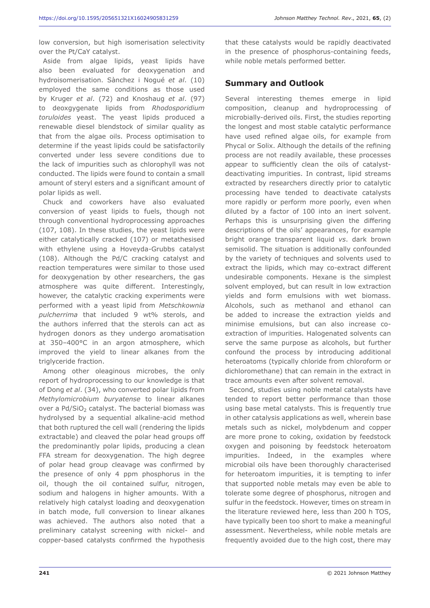low conversion, but high isomerisation selectivity over the Pt/CaY catalyst.

Aside from algae lipids, yeast lipids have also been evaluated for deoxygenation and hydroisomerisation. Sànchez i Nogué *et al*. (10) employed the same conditions as those used by Kruger *et al*. (72) and Knoshaug *et al*. (97) to deoxgygenate lipids from *Rhodosporidium toruloides* yeast. The yeast lipids produced a renewable diesel blendstock of similar quality as that from the algae oils. Process optimisation to determine if the yeast lipids could be satisfactorily converted under less severe conditions due to the lack of impurities such as chlorophyll was not conducted. The lipids were found to contain a small amount of steryl esters and a significant amount of polar lipids as well.

Chuck and coworkers have also evaluated conversion of yeast lipids to fuels, though not through conventional hydroprocessing approaches (107, 108). In these studies, the yeast lipids were either catalytically cracked (107) or metathesised with ethylene using a Hoveyda-Grubbs catalyst (108). Although the Pd/C cracking catalyst and reaction temperatures were similar to those used for deoxygenation by other researchers, the gas atmosphere was quite different. Interestingly, however, the catalytic cracking experiments were performed with a yeast lipid from *Metschkownia pulcherrima* that included 9 wt% sterols, and the authors inferred that the sterols can act as hydrogen donors as they undergo aromatisation at 350–400°C in an argon atmosphere, which improved the yield to linear alkanes from the triglyceride fraction.

Among other oleaginous microbes, the only report of hydroprocessing to our knowledge is that of Dong *et al*. (34), who converted polar lipids from *Methylomicrobium buryatense* to linear alkanes over a  $Pd/SiO<sub>2</sub>$  catalyst. The bacterial biomass was hydrolysed by a sequential alkaline-acid method that both ruptured the cell wall (rendering the lipids extractable) and cleaved the polar head groups off the predominantly polar lipids, producing a clean FFA stream for deoxygenation. The high degree of polar head group cleavage was confirmed by the presence of only 4 ppm phosphorus in the oil, though the oil contained sulfur, nitrogen, sodium and halogens in higher amounts. With a relatively high catalyst loading and deoxygenation in batch mode, full conversion to linear alkanes was achieved. The authors also noted that a preliminary catalyst screening with nickel- and copper-based catalysts confirmed the hypothesis

that these catalysts would be rapidly deactivated in the presence of phosphorus-containing feeds, while noble metals performed better.

#### **Summary and Outlook**

Several interesting themes emerge in lipid composition, cleanup and hydroprocessing of microbially-derived oils. First, the studies reporting the longest and most stable catalytic performance have used refined algae oils, for example from Phycal or Solix. Although the details of the refining process are not readily available, these processes appear to sufficiently clean the oils of catalystdeactivating impurities. In contrast, lipid streams extracted by researchers directly prior to catalytic processing have tended to deactivate catalysts more rapidly or perform more poorly, even when diluted by a factor of 100 into an inert solvent. Perhaps this is unsurprising given the differing descriptions of the oils' appearances, for example bright orange transparent liquid *vs*. dark brown semisolid. The situation is additionally confounded by the variety of techniques and solvents used to extract the lipids, which may co-extract different undesirable components. Hexane is the simplest solvent employed, but can result in low extraction yields and form emulsions with wet biomass. Alcohols, such as methanol and ethanol can be added to increase the extraction yields and minimise emulsions, but can also increase coextraction of impurities. Halogenated solvents can serve the same purpose as alcohols, but further confound the process by introducing additional heteroatoms (typically chloride from chloroform or dichloromethane) that can remain in the extract in trace amounts even after solvent removal.

Second, studies using noble metal catalysts have tended to report better performance than those using base metal catalysts. This is frequently true in other catalysis applications as well, wherein base metals such as nickel, molybdenum and copper are more prone to coking, oxidation by feedstock oxygen and poisoning by feedstock heteroatom impurities. Indeed, in the examples where microbial oils have been thoroughly characterised for heteroatom impurities, it is tempting to infer that supported noble metals may even be able to tolerate some degree of phosphorus, nitrogen and sulfur in the feedstock. However, times on stream in the literature reviewed here, less than 200 h TOS, have typically been too short to make a meaningful assessment. Nevertheless, while noble metals are frequently avoided due to the high cost, there may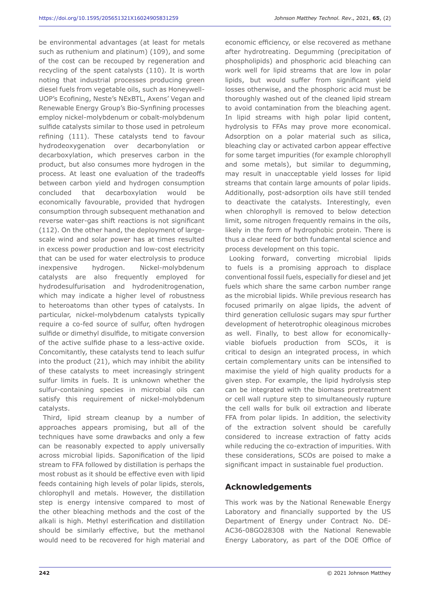be environmental advantages (at least for metals such as ruthenium and platinum) (109), and some of the cost can be recouped by regeneration and recycling of the spent catalysts (110). It is worth noting that industrial processes producing green diesel fuels from vegetable oils, such as Honeywell-UOP's Ecofining, Neste's NExBTL, Axens' Vegan and Renewable Energy Group's Bio-Synfining processes employ nickel-molybdenum or cobalt-molybdenum sulfide catalysts similar to those used in petroleum refining (111). These catalysts tend to favour hydrodeoxygenation over decarbonylation or decarboxylation, which preserves carbon in the product, but also consumes more hydrogen in the process. At least one evaluation of the tradeoffs between carbon yield and hydrogen consumption concluded that decarboxylation would be economically favourable, provided that hydrogen consumption through subsequent methanation and reverse water-gas shift reactions is not significant (112). On the other hand, the deployment of largescale wind and solar power has at times resulted in excess power production and low-cost electricity that can be used for water electrolysis to produce inexpensive hydrogen. Nickel-molybdenum catalysts are also frequently employed for hydrodesulfurisation and hydrodenitrogenation, which may indicate a higher level of robustness to heteroatoms than other types of catalysts. In particular, nickel-molybdenum catalysts typically require a co-fed source of sulfur, often hydrogen sulfide or dimethyl disulfide, to mitigate conversion of the active sulfide phase to a less-active oxide. Concomitantly, these catalysts tend to leach sulfur into the product (21), which may inhibit the ability of these catalysts to meet increasingly stringent sulfur limits in fuels. It is unknown whether the sulfur-containing species in microbial oils can satisfy this requirement of nickel-molybdenum catalysts.

Third, lipid stream cleanup by a number of approaches appears promising, but all of the techniques have some drawbacks and only a few can be reasonably expected to apply universally across microbial lipids. Saponification of the lipid stream to FFA followed by distillation is perhaps the most robust as it should be effective even with lipid feeds containing high levels of polar lipids, sterols, chlorophyll and metals. However, the distillation step is energy intensive compared to most of the other bleaching methods and the cost of the alkali is high. Methyl esterification and distillation should be similarly effective, but the methanol would need to be recovered for high material and economic efficiency, or else recovered as methane after hydrotreating. Degumming (precipitation of phospholipids) and phosphoric acid bleaching can work well for lipid streams that are low in polar lipids, but would suffer from significant yield losses otherwise, and the phosphoric acid must be thoroughly washed out of the cleaned lipid stream to avoid contamination from the bleaching agent. In lipid streams with high polar lipid content, hydrolysis to FFAs may prove more economical. Adsorption on a polar material such as silica, bleaching clay or activated carbon appear effective for some target impurities (for example chlorophyll and some metals), but similar to degumming, may result in unacceptable yield losses for lipid streams that contain large amounts of polar lipids. Additionally, post-adsorption oils have still tended to deactivate the catalysts. Interestingly, even when chlorophyll is removed to below detection limit, some nitrogen frequently remains in the oils, likely in the form of hydrophobic protein. There is thus a clear need for both fundamental science and process development on this topic.

Looking forward, converting microbial lipids to fuels is a promising approach to displace conventional fossil fuels, especially for diesel and jet fuels which share the same carbon number range as the microbial lipids. While previous research has focused primarily on algae lipids, the advent of third generation cellulosic sugars may spur further development of heterotrophic oleaginous microbes as well. Finally, to best allow for economicallyviable biofuels production from SCOs, it is critical to design an integrated process, in which certain complementary units can be intensified to maximise the yield of high quality products for a given step. For example, the lipid hydrolysis step can be integrated with the biomass pretreatment or cell wall rupture step to simultaneously rupture the cell walls for bulk oil extraction and liberate FFA from polar lipids. In addition, the selectivity of the extraction solvent should be carefully considered to increase extraction of fatty acids while reducing the co-extraction of impurities. With these considerations, SCOs are poised to make a significant impact in sustainable fuel production.

#### **Acknowledgements**

This work was by the National Renewable Energy Laboratory and financially supported by the US Department of Energy under Contract No. DE-AC36-08GO28308 with the National Renewable Energy Laboratory, as part of the DOE Office of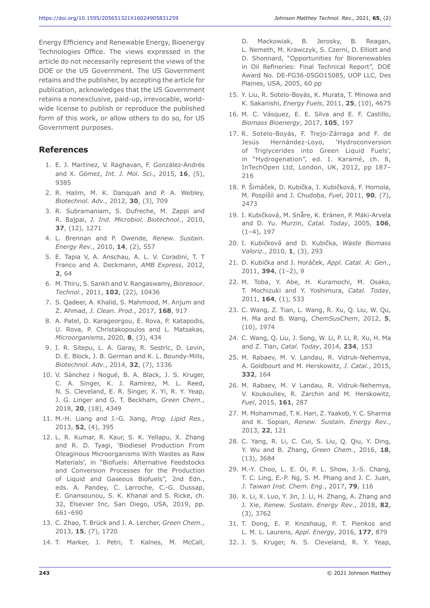Energy Efficiency and Renewable Energy, Bioenergy Technologies Office. The views expressed in the article do not necessarily represent the views of the DOE or the US Government. The US Government retains and the publisher, by accepting the article for publication, acknowledges that the US Government retains a nonexclusive, paid-up, irrevocable, worldwide license to publish or reproduce the published form of this work, or allow others to do so, for US Government purposes.

## **References**

- 1. E. J. Martínez, V. Raghavan, F. González-Andrés and X. Gómez, *Int. J. Mol. Sci.*, 2015, **16**, (5), 9385
- 2. R. Halim, M. K. Danquah and P. A. Webley, *Biotechnol. Adv.*, 2012, **30**, (3), 709
- 3. R. Subramaniam, S. Dufreche, M. Zappi and R. Bajpai, *J. Ind. Microbiol. Biotechnol.*, 2010, **37**, (12), 1271
- 4. L. Brennan and P. Owende, *Renew. Sustain. Energy Rev.*, 2010, **14**, (2), 557
- 5. E. Tapia V, A. Anschau, A. L. V. Coradini, T. T Franco and A. Deckmann, *AMB Express*, 2012, **2**, 64
- 6. M. Thiru, S. Sankh and V. Rangaswamy, *Bioresour. Technol.*, 2011, **102**, (22), 10436
- 7. S. Qadeer, A. Khalid, S. Mahmood, M. Anjum and Z. Ahmad, *J. Clean. Prod.*, 2017, **168**, 917
- 8. A. Patel, D. Karageorgou, E. Rova, P. Katapodis, U. Rova, P. Christakopoulos and L. Matsakas, *Microorganisms*, 2020, **8**, (3), 434
- 9. I. R. Sitepu, L. A. Garay, R. Sestric, D. Levin, D. E. Block, J. B. German and K. L. Boundy-Mills, *Biotechnol. Adv.*, 2014, **32**, (7), 1336
- 10. V. Sànchez i Nogué, B. A. Black, J. S. Kruger, C. A. Singer, K. J. Ramirez, M. L. Reed, N. S. Cleveland, E. R. Singer, X. Yi, R. Y. Yeap, J. G. Linger and G. T. Beckham, *Green Chem.*, 2018, **20**, (18), 4349
- 11. M.-H. Liang and J.-G. Jiang, *Prog. Lipid Res.*, 2013, **52**, (4), 395
- 12. L. R. Kumar, R. Kaur, S. K. Yellapu, X. Zhang and R. D. Tyagi, 'Biodiesel Production From Oleaginous Microorganisms With Wastes as Raw Materials', in "Biofuels: Alternative Feedstocks and Conversion Processes for the Production of Liquid and Gaseous Biofuels", 2nd Edn., eds. A. Pandey, C. Larroche, C.-G. Dussap, E. Gnansounou, S. K. Khanal and S. Ricke, ch. 32, Elsevier Inc, San Diego, USA, 2019, pp. 661–690
- 13. C. Zhao, T. Brück and J. A. Lercher, *Green Chem.*, 2013, **15**, (7), 1720
- 14. T. Marker, J. Petri, T. Kalnes, M. McCall,

D. Mackowiak, B. Jerosky, B. Reagan, L. Nemeth, M. Krawczyk, S. Czerni, D. Elliott and D. Shonnard, "Opportunities for Biorenewables in Oil Refineries: Final Technical Report", DOE Award No. DE-FG36-05GO15085, UOP LLC, Des Plaines, USA, 2005, 60 pp

- 15. Y. Liu, R. Sotelo-Boyás, K. Murata, T. Minowa and K. Sakanishi, *Energy Fuels*, 2011, **25**, (10), 4675
- 16. M. C. Vásquez, E. E. Silva and E. F. Castillo, *Biomass Bioenergy*, 2017, **105**, 197
- 17. R. Sotelo-Boyás, F. Trejo-Zárraga and F. de Jesús Hernández-Loyo, 'Hydroconversion of Triglycerides into Green Liquid Fuels', in "Hydrogenation", ed. I. Karamé, ch. 8, InTechOpen Ltd, London, UK, 2012, pp 187– 216
- 18. P. Šimáček, D. Kubička, I. Kubičková, F. Homola, M. Pospíšil and J. Chudoba, *Fuel*, 2011, **90**, (7), 2473
- 19. I. Kubičková, M. Snåre, K. Eränen, P. Mäki-Arvela and D. Yu. Murzin, *Catal. Today*, 2005, **106**,  $(1-4), 197$
- 20. I. Kubičková and D. Kubička, *Waste Biomass Valoriz.*, 2010, **1**, (3), 293
- 21. D. Kubička and J. Horáček, *Appl. Catal. A: Gen.*, 2011, **394**, (1–2), 9
- 22. M. Toba, Y. Abe, H. Kuramochi, M. Osako, T. Mochizuki and Y. Yoshimura, *Catal. Today*, 2011, **164**, (1), 533
- 23. C. Wang, Z. Tian, L. Wang, R. Xu, Q. Liu, W. Qu, H. Ma and B. Wang, *ChemSusChem*, 2012, **5**, (10), 1974
- 24. C. Wang, Q. Liu, J. Song, W. Li, P. Li, R. Xu, H. Ma and Z. Tian, *Catal. Today*, 2014, **234**, 153
- 25. M. Rabaev, M. V. Landau, R. Vidruk-Nehemya, A. Goldbourt and M. Herskowitz, *J. Catal.*, 2015, **332**, 164
- 26. M. Rabaev, M. V Landau, R. Vidruk-Nehemya, V. Koukouliev, R. Zarchin and M. Herskowitz, *Fuel*, 2015, **161**, 287
- 27. M. Mohammad, T. K. Hari, Z. Yaakob, Y. C. Sharma and K. Sopian, *Renew. Sustain. Energy Rev.*, 2013, **22**, 121
- 28. C. Yang, R. Li, C. Cui, S. Liu, Q. Qiu, Y. Ding, Y. Wu and B. Zhang, *Green Chem.*, 2016, **18**, (13), 3684
- 29. M.-Y. Choo, L. E. Oi, P. L. Show, J.-S. Chang, T. C. Ling, E.-P. Ng, S. M. Phang and J. C. Juan, *J. Taiwan Inst. Chem. Eng.*, 2017, **79**, 116
- 30. X. Li, X. Luo, Y. Jin, J. Li, H. Zhang, A. Zhang and J. Xie, *Renew. Sustain. Energy Rev.*, 2018, **82**, (3), 3762
- 31. T. Dong, E. P. Knoshaug, P. T. Pienkos and L. M. L. Laurens, *Appl. Energy*, 2016, **177**, 879
- 32. J. S. Kruger, N. S. Cleveland, R. Y. Yeap,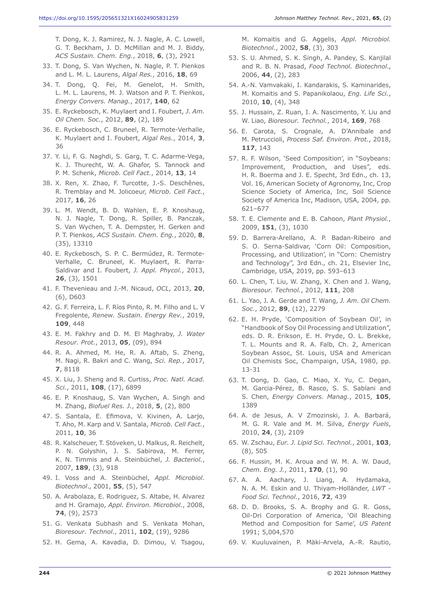T. Dong, K. J. Ramirez, N. J. Nagle, A. C. Lowell, G. T. Beckham, J. D. McMillan and M. J. Biddy, *ACS Sustain. Chem. Eng.*, 2018, **6**, (3), 2921

- 33. T. Dong, S. Van Wychen, N. Nagle, P. T. Pienkos and L. M. L. Laurens, *Algal Res.*, 2016, **18**, 69
- 34. T. Dong, Q. Fei, M. Genelot, H. Smith, L. M. L. Laurens, M. J. Watson and P. T. Pienkos, *Energy Convers. Manag.*, 2017, **140**, 62
- 35. E. Ryckebosch, K. Muylaert and I. Foubert, *J. Am. Oil Chem. Soc.*, 2012, **89**, (2), 189
- 36. E. Ryckebosch, C. Bruneel, R. Termote-Verhalle, K. Muylaert and I. Foubert, *Algal Res.*, 2014, **3**, 36
- 37. Y. Li, F. G. Naghdi, S. Garg, T. C. Adarme-Vega, K. J. Thurecht, W. A. Ghafor, S. Tannock and P. M. Schenk, *Microb. Cell Fact.*, 2014, **13**, 14
- 38. X. Ren, X. Zhao, F. Turcotte, J.-S. Deschênes, R. Tremblay and M. Jolicoeur, *Microb. Cell Fact.*, 2017, **16**, 26
- 39. L. M. Wendt, B. D. Wahlen, E. P. Knoshaug, N. J. Nagle, T. Dong, R. Spiller, B. Panczak, S. Van Wychen, T. A. Dempster, H. Gerken and P. T. Pienkos, *ACS Sustain. Chem. Eng.*, 2020, **8**, (35), 13310
- 40. E. Ryckebosch, S. P. C. Bermúdez, R. Termote-Verhalle, C. Bruneel, K. Muylaert, R. Parra-Saldivar and I. Foubert, *J. Appl. Phycol.*, 2013, **26**, (3), 1501
- 41. F. Thevenieau and J.-M. Nicaud, *OCL*, 2013, **20**, (6), D603
- 42. G. F. Ferreira, L. F. Ríos Pinto, R. M. Filho and L. V Fregolente, *Renew. Sustain. Energy Rev.*, 2019, **109**, 448
- 43. E. M. Fakhry and D. M. El Maghraby, *J. Water Resour. Prot.*, 2013, **05**, (09), 894
- 44. R. A. Ahmed, M. He, R. A. Aftab, S. Zheng, M. Nagi, R. Bakri and C. Wang, *Sci. Rep.*, 2017, **7**, 8118
- 45. X. Liu, J. Sheng and R. Curtiss, *Proc. Natl. Acad. Sci.*, 2011, **108**, (17), 6899
- 46. E. P. Knoshaug, S. Van Wychen, A. Singh and M. Zhang, *Biofuel Res. J.*, 2018, **5**, (2), 800
- 47. S. Santala, E. Efimova, V. Kivinen, A. Larjo, T. Aho, M. Karp and V. Santala, *Microb. Cell Fact.*, 2011, **10**, 36
- 48. R. Kalscheuer, T. Stöveken, U. Malkus, R. Reichelt, P. N. Golyshin, J. S. Sabirova, M. Ferrer, K. N. Timmis and A. Steinbüchel, *J. Bacteriol.*, 2007, **189**, (3), 918
- 49. I. Voss and A. Steinbüchel, *Appl. Microbiol. Biotechnol*., 2001, **55**, (5), 547
- 50. A. Arabolaza, E. Rodriguez, S. Altabe, H. Alvarez and H. Gramajo, *Appl. Environ. Microbiol.*, 2008, **74**, (9), 2573
- 51. G. Venkata Subhash and S. Venkata Mohan, *Bioresour. Technol.*, 2011, **102**, (19), 9286
- 52. H. Gema, A. Kavadia, D. Dimou, V. Tsagou,

M. Komaitis and G. Aggelis, *Appl. Microbiol. Biotechnol.*, 2002, **58**, (3), 303

- 53. S. U. Ahmed, S. K. Singh, A. Pandey, S. Kanjilal and R. B. N. Prasad, *Food Technol. Biotechnol*., 2006, **44**, (2), 283
- 54. A.-N. Vamvakaki, I. Kandarakis, S. Kaminarides, M. Komaitis and S. Papanikolaou, *Eng. Life Sci.*, 2010, **10**, (4), 348
- 55. J. Hussain, Z. Ruan, I. A. Nascimento, Y. Liu and W. Liao, *Bioresour. Technol.*, 2014, **169**, 768
- 56. E. Carota, S. Crognale, A. D'Annibale and M. Petruccioli, *Process Saf. Environ. Prot.*, 2018, **117**, 143
- 57. R. F. Wilson, 'Seed Composition', in "Soybeans: Improvement, Production, and Uses", eds. H. R. Boerma and J. E. Specht, 3rd Edn., ch. 13, Vol. 16, American Society of Agronomy, Inc, Crop Science Society of America, Inc, Soil Science Society of America Inc, Madison, USA, 2004, pp. 621–677
- 58. T. E. Clemente and E. B. Cahoon, *Plant Physiol.*, 2009, **151**, (3), 1030
- 59. D. Barrera-Arellano, A. P. Badan-Ribeiro and S. O. Serna-Saldivar, 'Corn Oil: Composition, Processing, and Utilization', in "Corn: Chemistry and Technology", 3rd Edn., ch. 21, Elsevier Inc, Cambridge, USA, 2019, pp. 593–613
- 60. L. Chen, T. Liu, W. Zhang, X. Chen and J. Wang, *Bioresour. Technol.*, 2012, **111**, 208
- 61. L. Yao, J. A. Gerde and T. Wang, *J. Am. Oil Chem. Soc.*, 2012, **89**, (12), 2279
- 62. E. H. Pryde, 'Composition of Soybean Oil', in "Handbook of Soy Oil Processing and Utilization", eds. D. R. Erikson, E. H. Pryde, O. L. Brekke, T. L. Mounts and R. A. Falb, Ch. 2, American Soybean Assoc, St. Louis, USA and American Oil Chemists Soc, Champaign, USA, 1980, pp. 13-31
- 63. T. Dong, D. Gao, C. Miao, X. Yu, C. Degan, M. Garcia-Pérez, B. Rasco, S. S. Sablani and S. Chen, *Energy Convers. Manag.*, 2015, **105**, 1389
- 64. A. de Jesus, A. V Zmozinski, J. A. Barbará, M. G. R. Vale and M. M. Silva, *Energy Fuels*, 2010, **24**, (3), 2109
- 65. W. Zschau, *Eur. J. Lipid Sci. Technol.*, 2001, **103**, (8), 505
- 66. F. Hussin, M. K. Aroua and W. M. A. W. Daud, *Chem. Eng. J.*, 2011, **170**, (1), 90
- 67. A. A. Aachary, J. Liang, A. Hydamaka, N. A. M. Eskin and U. Thiyam-Holländer, *LWT - Food Sci. Technol.*, 2016, **72**, 439
- 68. D. D. Brooks, S. A. Brophy and G. R. Goss, Oil-Dri Corporation of America, 'Oil Bleaching Method and Composition for Same', *US Patent* 1991; 5,004,570
- 69. V. Kuuluvainen, P. Mäki-Arvela, A.-R. Rautio,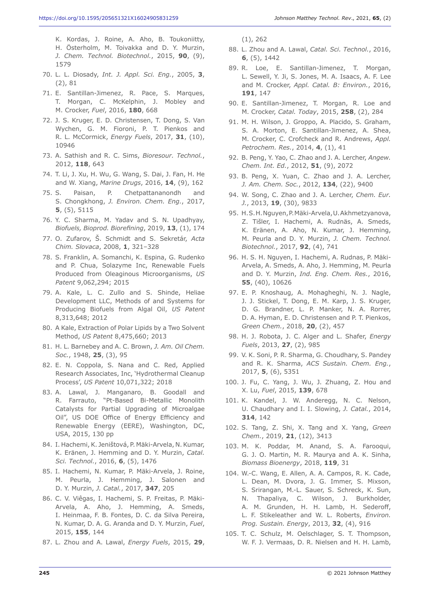- 70. L. L. Diosady, *Int. J. Appl. Sci. Eng.*, 2005, **3**, (2), 81
- 71. E. Santillan-Jimenez, R. Pace, S. Marques, T. Morgan, C. McKelphin, J. Mobley and M. Crocker, *Fuel*, 2016, **180**, 668
- 72. J. S. Kruger, E. D. Christensen, T. Dong, S. Van Wychen, G. M. Fioroni, P. T. Pienkos and R. L. McCormick, *Energy Fuels*, 2017, **31**, (10), 10946
- 73. A. Sathish and R. C. Sims, *Bioresour. Technol.*, 2012, **118**, 643
- 74. T. Li, J. Xu, H. Wu, G. Wang, S. Dai, J. Fan, H. He and W. Xiang, *Marine Drugs*, 2016, **14**, (9), 162
- 75. S. Paisan, P. Chetpattananondh and S. Chongkhong, *J. Environ. Chem. Eng.*, 2017, **5**, (5), 5115
- 76. Y. C. Sharma, M. Yadav and S. N. Upadhyay, *Biofuels, Bioprod. Biorefining*, 2019, **13**, (1), 174
- 77. O. Zufarov, Š. Schmidt and S. Sekretár, *Acta Chim. Slovaca*, 2008, **1**, 321–328
- 78. S. Franklin, A. Somanchi, K. Espina, G. Rudenko and P. Chua, Solazyme Inc, Renewable Fuels Produced from Oleaginous Microorganisms, *US Patent* 9,062,294; 2015
- 79. A. Kale, L. C. Zullo and S. Shinde, Heliae Development LLC, Methods of and Systems for Producing Biofuels from Algal Oil, *US Patent* 8,313,648; 2012
- 80. A Kale, Extraction of Polar Lipids by a Two Solvent Method, *US Patent* 8,475,660; 2013
- 81. H. L. Barnebey and A. C. Brown, *J. Am. Oil Chem. Soc.*, 1948, **25**, (3), 95
- 82. E. N. Coppola, S. Nana and C. Red, Applied Research Associates, Inc, 'Hydrothermal Cleanup Process', *US Patent* 10,071,322; 2018
- 83. A. Lawal, J. Manganaro, B. Goodall and R. Farrauto, "Pt-Based Bi-Metallic Monolith Catalysts for Partial Upgrading of Microalgae Oil", US DOE Office of Energy Efficiency and Renewable Energy (EERE), Washington, DC, USA, 2015, 130 pp
- 84. I. Hachemi, K. Jeništová, P. Mäki-Arvela, N.Kumar, K. Eränen, J. Hemming and D. Y. Murzin, *Catal. Sci. Technol.*, 2016, **6**, (5), 1476
- 85. I. Hachemi, N. Kumar, P. Mäki-Arvela, J. Roine, M. Peurla, J. Hemming, J. Salonen and D. Y. Murzin, *J. Catal.*, 2017, **347**, 205
- 86. C. V. Viêgas, I. Hachemi, S. P. Freitas, P. Mäki-Arvela, A. Aho, J. Hemming, A. Smeds, I. Heinmaa, F. B. Fontes, D. C. da Silva Pereira, N. Kumar, D. A. G. Aranda and D. Y. Murzin, *Fuel*, 2015, **155**, 144
- 87. L. Zhou and A. Lawal, *Energy Fuels*, 2015, **29**,

(1), 262

- 88. L. Zhou and A. Lawal, *Catal. Sci. Technol.*, 2016, **6**, (5), 1442
- 89. R. Loe, E. Santillan-Jimenez, T. Morgan, L. Sewell, Y. Ji, S. Jones, M. A. Isaacs, A. F. Lee and M. Crocker, *Appl. Catal. B: Environ.*, 2016, **191**, 147
- 90. E. Santillan-Jimenez, T. Morgan, R. Loe and M. Crocker, *Catal. Today*, 2015, **258**, (2), 284
- 91. M. H. Wilson, J. Groppo, A. Placido, S. Graham, S. A. Morton, E. Santillan-Jimenez, A. Shea, M. Crocker, C. Crofcheck and R. Andrews, *Appl. Petrochem. Res.*, 2014, **4**, (1), 41
- 92. B. Peng, Y. Yao, C. Zhao and J. A. Lercher, *Angew. Chem. Int. Ed.*, 2012, **51**, (9), 2072
- 93. B. Peng, X. Yuan, C. Zhao and J. A. Lercher, *J. Am. Chem. Soc.*, 2012, **134**, (22), 9400
- 94. W. Song, C. Zhao and J. A. Lercher, *Chem. Eur. J.*, 2013, **19**, (30), 9833
- 95. H.S.H.Nguyen, P.Mäki-Arvela, U.Akhmetzyanova, Z. Tišler, I. Hachemi, A. Rudnäs, A. Smeds, K. Eränen, A. Aho, N. Kumar, J. Hemming, M. Peurla and D. Y. Murzin, *J. Chem. Technol. Biotechnol.*, 2017, **92**, (4), 741
- 96. H. S. H. Nguyen, I. Hachemi, A. Rudnas, P. Mäki-Arvela, A. Smeds, A. Aho, J. Hemming, M. Peurla and D. Y. Murzin, *Ind. Eng. Chem. Res.*, 2016, **55**, (40), 10626
- 97. E. P. Knoshaug, A. Mohagheghi, N. J. Nagle, J. J. Stickel, T. Dong, E. M. Karp, J. S. Kruger, D. G. Brandner, L. P. Manker, N. A. Rorrer, D. A. Hyman, E. D. Christensen and P. T. Pienkos, *Green Chem.*, 2018, **20**, (2), 457
- 98. H. J. Robota, J. C. Alger and L. Shafer, *Energy Fuels*, 2013, **27**, (2), 985
- 99. V. K. Soni, P. R. Sharma, G. Choudhary, S. Pandey and R. K. Sharma, *ACS Sustain. Chem. Eng.*, 2017, **5**, (6), 5351
- 100. J. Fu, C. Yang, J. Wu, J. Zhuang, Z. Hou and X. Lu, *Fuel*, 2015, **139**, 678
- 101. K. Kandel, J. W. Anderegg, N. C. Nelson, U. Chaudhary and I. I. Slowing, *J. Catal.*, 2014, **314**, 142
- 102. S. Tang, Z. Shi, X. Tang and X. Yang, *Green Chem.*, 2019, **21**, (12), 3413
- 103. M. K. Poddar, M. Anand, S. A. Farooqui, G. J. O. Martin, M. R. Maurya and A. K. Sinha, *Biomass Bioenergy*, 2018, **119**, 31
- 104. W.-C. Wang, E. Allen, A. A. Campos, R. K. Cade, L. Dean, M. Dvora, J. G. Immer, S. Mixson, S. Srirangan, M.-L. Sauer, S. Schreck, K. Sun, N. Thapaliya, C. Wilson, J. Burkholder, A. M. Grunden, H. H. Lamb, H. Sederoff, L. F. Stikeleather and W. L. Roberts, *Environ. Prog. Sustain. Energy*, 2013, **32**, (4), 916
- 105. T. C. Schulz, M. Oelschlager, S. T. Thompson, W. F. J. Vermaas, D. R. Nielsen and H. H. Lamb,